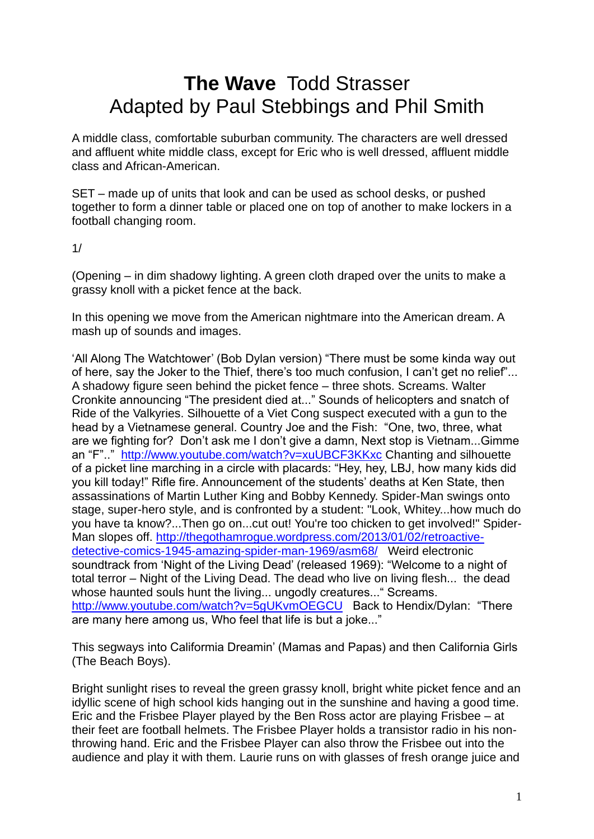# **The Wave** Todd Strasser Adapted by Paul Stebbings and Phil Smith

A middle class, comfortable suburban community. The characters are well dressed and affluent white middle class, except for Eric who is well dressed, affluent middle class and African-American.

SET – made up of units that look and can be used as school desks, or pushed together to form a dinner table or placed one on top of another to make lockers in a football changing room.

1/

(Opening – in dim shadowy lighting. A green cloth draped over the units to make a grassy knoll with a picket fence at the back.

In this opening we move from the American nightmare into the American dream. A mash up of sounds and images.

'All Along The Watchtower' (Bob Dylan version) "There must be some kinda way out of here, say the Joker to the Thief, there's too much confusion, I can't get no relief"... A shadowy figure seen behind the picket fence – three shots. Screams. Walter Cronkite announcing "The president died at..." Sounds of helicopters and snatch of Ride of the Valkyries. Silhouette of a Viet Cong suspect executed with a gun to the head by a Vietnamese general. Country Joe and the Fish: "One, two, three, what are we fighting for? Don't ask me I don't give a damn, Next stop is Vietnam...Gimme an "F".." <http://www.youtube.com/watch?v=xuUBCF3KKxc> Chanting and silhouette of a picket line marching in a circle with placards: "Hey, hey, LBJ, how many kids did you kill today!" Rifle fire. Announcement of the students' deaths at Ken State, then assassinations of Martin Luther King and Bobby Kennedy. Spider-Man swings onto stage, super-hero style, and is confronted by a student: "Look, Whitey...how much do you have ta know?...Then go on...cut out! You're too chicken to get involved!" Spider-Man slopes off. [http://thegothamrogue.wordpress.com/2013/01/02/retroactive](http://thegothamrogue.wordpress.com/2013/01/02/retroactive-detective-comics-1945-amazing-spider-man-1969/asm68/)[detective-comics-1945-amazing-spider-man-1969/asm68/](http://thegothamrogue.wordpress.com/2013/01/02/retroactive-detective-comics-1945-amazing-spider-man-1969/asm68/) Weird electronic soundtrack from 'Night of the Living Dead' (released 1969): "Welcome to a night of total terror – Night of the Living Dead. The dead who live on living flesh... the dead whose haunted souls hunt the living... ungodly creatures..." Screams. <http://www.youtube.com/watch?v=5gUKvmOEGCU>Back to Hendix/Dylan: "There are many here among us, Who feel that life is but a joke..."

This segways into Califormia Dreamin' (Mamas and Papas) and then California Girls (The Beach Boys).

Bright sunlight rises to reveal the green grassy knoll, bright white picket fence and an idyllic scene of high school kids hanging out in the sunshine and having a good time. Eric and the Frisbee Player played by the Ben Ross actor are playing Frisbee – at their feet are football helmets. The Frisbee Player holds a transistor radio in his nonthrowing hand. Eric and the Frisbee Player can also throw the Frisbee out into the audience and play it with them. Laurie runs on with glasses of fresh orange juice and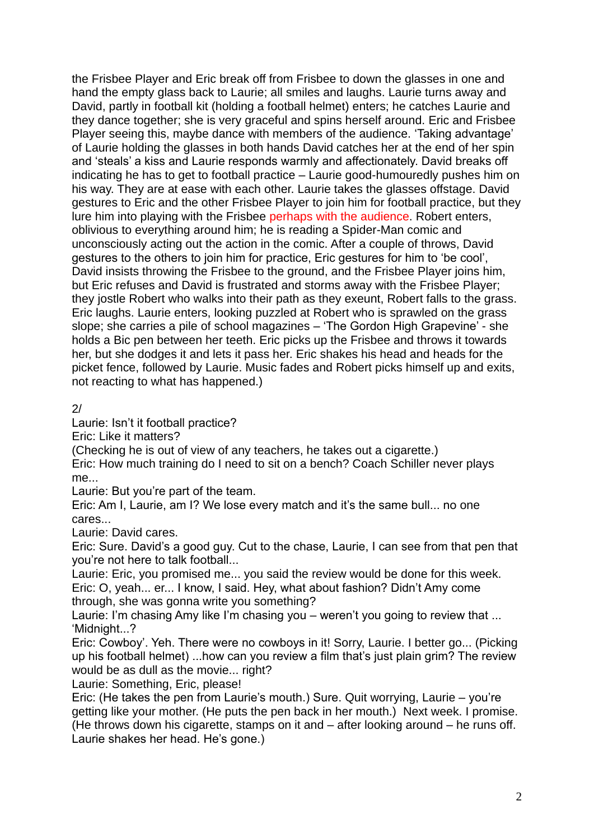the Frisbee Player and Eric break off from Frisbee to down the glasses in one and hand the empty glass back to Laurie; all smiles and laughs. Laurie turns away and David, partly in football kit (holding a football helmet) enters; he catches Laurie and they dance together; she is very graceful and spins herself around. Eric and Frisbee Player seeing this, maybe dance with members of the audience. 'Taking advantage' of Laurie holding the glasses in both hands David catches her at the end of her spin and 'steals' a kiss and Laurie responds warmly and affectionately. David breaks off indicating he has to get to football practice – Laurie good-humouredly pushes him on his way. They are at ease with each other. Laurie takes the glasses offstage. David gestures to Eric and the other Frisbee Player to join him for football practice, but they lure him into playing with the Frisbee perhaps with the audience. Robert enters, oblivious to everything around him; he is reading a Spider-Man comic and unconsciously acting out the action in the comic. After a couple of throws, David gestures to the others to join him for practice, Eric gestures for him to 'be cool', David insists throwing the Frisbee to the ground, and the Frisbee Player joins him, but Eric refuses and David is frustrated and storms away with the Frisbee Player; they jostle Robert who walks into their path as they exeunt, Robert falls to the grass. Eric laughs. Laurie enters, looking puzzled at Robert who is sprawled on the grass slope; she carries a pile of school magazines – 'The Gordon High Grapevine' - she holds a Bic pen between her teeth. Eric picks up the Frisbee and throws it towards her, but she dodges it and lets it pass her. Eric shakes his head and heads for the picket fence, followed by Laurie. Music fades and Robert picks himself up and exits, not reacting to what has happened.)

2/

Laurie: Isn't it football practice?

Eric: Like it matters?

(Checking he is out of view of any teachers, he takes out a cigarette.)

Eric: How much training do I need to sit on a bench? Coach Schiller never plays me...

Laurie: But you're part of the team.

Eric: Am I, Laurie, am I? We lose every match and it's the same bull... no one cares...

Laurie: David cares.

Eric: Sure. David's a good guy. Cut to the chase, Laurie, I can see from that pen that you're not here to talk football...

Laurie: Eric, you promised me... you said the review would be done for this week. Eric: O, yeah... er... I know, I said. Hey, what about fashion? Didn't Amy come through, she was gonna write you something?

Laurie: I'm chasing Amy like I'm chasing you – weren't you going to review that ... 'Midnight...?

Eric: Cowboy'. Yeh. There were no cowboys in it! Sorry, Laurie. I better go... (Picking up his football helmet) ...how can you review a film that's just plain grim? The review would be as dull as the movie... right?

Laurie: Something, Eric, please!

Eric: (He takes the pen from Laurie's mouth.) Sure. Quit worrying, Laurie – you're getting like your mother. (He puts the pen back in her mouth.) Next week. I promise. (He throws down his cigarette, stamps on it and – after looking around – he runs off. Laurie shakes her head. He's gone.)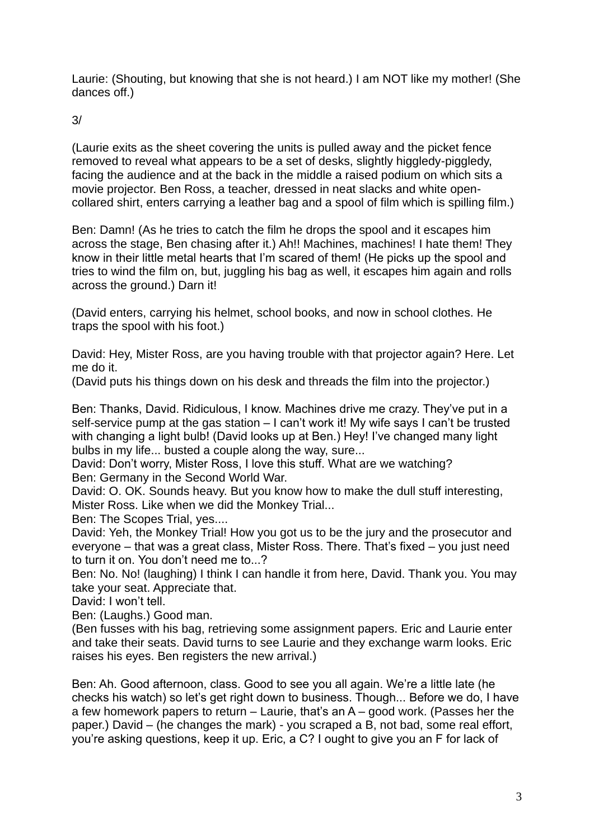Laurie: (Shouting, but knowing that she is not heard.) I am NOT like my mother! (She dances off.)

3/

(Laurie exits as the sheet covering the units is pulled away and the picket fence removed to reveal what appears to be a set of desks, slightly higgledy-piggledy, facing the audience and at the back in the middle a raised podium on which sits a movie projector. Ben Ross, a teacher, dressed in neat slacks and white opencollared shirt, enters carrying a leather bag and a spool of film which is spilling film.)

Ben: Damn! (As he tries to catch the film he drops the spool and it escapes him across the stage, Ben chasing after it.) Ah!! Machines, machines! I hate them! They know in their little metal hearts that I'm scared of them! (He picks up the spool and tries to wind the film on, but, juggling his bag as well, it escapes him again and rolls across the ground.) Darn it!

(David enters, carrying his helmet, school books, and now in school clothes. He traps the spool with his foot.)

David: Hey, Mister Ross, are you having trouble with that projector again? Here. Let me do it.

(David puts his things down on his desk and threads the film into the projector.)

Ben: Thanks, David. Ridiculous, I know. Machines drive me crazy. They've put in a self-service pump at the gas station – I can't work it! My wife says I can't be trusted with changing a light bulb! (David looks up at Ben.) Hey! I've changed many light bulbs in my life... busted a couple along the way, sure...

David: Don't worry, Mister Ross, I love this stuff. What are we watching? Ben: Germany in the Second World War.

David: O. OK. Sounds heavy. But you know how to make the dull stuff interesting, Mister Ross. Like when we did the Monkey Trial...

Ben: The Scopes Trial, yes....

David: Yeh, the Monkey Trial! How you got us to be the jury and the prosecutor and everyone – that was a great class, Mister Ross. There. That's fixed – you just need to turn it on. You don't need me to...?

Ben: No. No! (laughing) I think I can handle it from here, David. Thank you. You may take your seat. Appreciate that.

David: I won't tell.

Ben: (Laughs.) Good man.

(Ben fusses with his bag, retrieving some assignment papers. Eric and Laurie enter and take their seats. David turns to see Laurie and they exchange warm looks. Eric raises his eyes. Ben registers the new arrival.)

Ben: Ah. Good afternoon, class. Good to see you all again. We're a little late (he checks his watch) so let's get right down to business. Though... Before we do, I have a few homework papers to return – Laurie, that's an A – good work. (Passes her the paper.) David – (he changes the mark) - you scraped a B, not bad, some real effort, you're asking questions, keep it up. Eric, a C? I ought to give you an F for lack of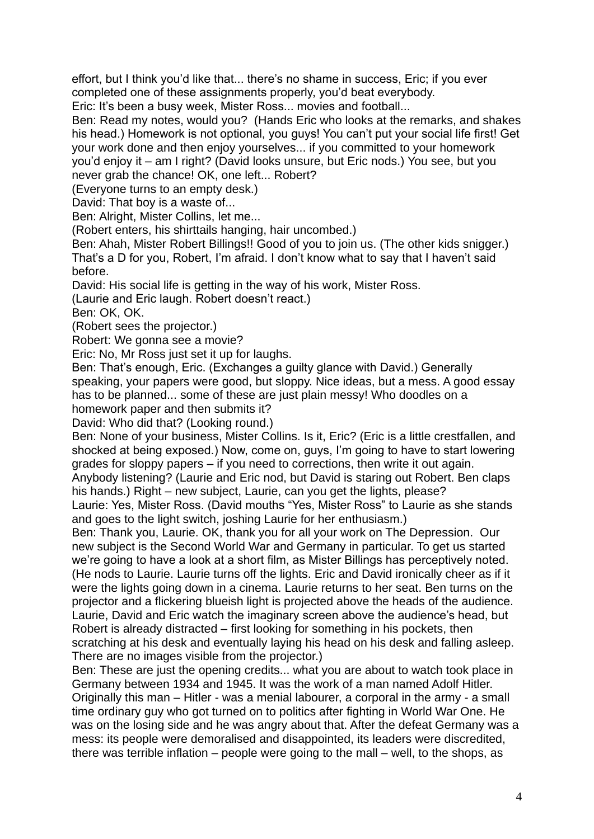effort, but I think you'd like that... there's no shame in success, Eric; if you ever completed one of these assignments properly, you'd beat everybody.

Eric: It's been a busy week, Mister Ross... movies and football...

Ben: Read my notes, would you? (Hands Eric who looks at the remarks, and shakes his head.) Homework is not optional, you guys! You can't put your social life first! Get your work done and then enjoy yourselves... if you committed to your homework you'd enjoy it – am I right? (David looks unsure, but Eric nods.) You see, but you never grab the chance! OK, one left... Robert?

(Everyone turns to an empty desk.)

David: That boy is a waste of...

Ben: Alright, Mister Collins, let me...

(Robert enters, his shirttails hanging, hair uncombed.)

Ben: Ahah, Mister Robert Billings!! Good of you to join us. (The other kids snigger.) That's a D for you, Robert, I'm afraid. I don't know what to say that I haven't said before.

David: His social life is getting in the way of his work, Mister Ross.

(Laurie and Eric laugh. Robert doesn't react.)

Ben: OK, OK.

(Robert sees the projector.)

Robert: We gonna see a movie?

Eric: No, Mr Ross just set it up for laughs.

Ben: That's enough, Eric. (Exchanges a guilty glance with David.) Generally speaking, your papers were good, but sloppy. Nice ideas, but a mess. A good essay has to be planned... some of these are just plain messy! Who doodles on a homework paper and then submits it?

David: Who did that? (Looking round.)

Ben: None of your business, Mister Collins. Is it, Eric? (Eric is a little crestfallen, and shocked at being exposed.) Now, come on, guys, I'm going to have to start lowering grades for sloppy papers – if you need to corrections, then write it out again.

Anybody listening? (Laurie and Eric nod, but David is staring out Robert. Ben claps his hands.) Right – new subject, Laurie, can you get the lights, please?

Laurie: Yes, Mister Ross. (David mouths "Yes, Mister Ross" to Laurie as she stands and goes to the light switch, joshing Laurie for her enthusiasm.)

Ben: Thank you, Laurie. OK, thank you for all your work on The Depression. Our new subject is the Second World War and Germany in particular. To get us started we're going to have a look at a short film, as Mister Billings has perceptively noted. (He nods to Laurie. Laurie turns off the lights. Eric and David ironically cheer as if it were the lights going down in a cinema. Laurie returns to her seat. Ben turns on the projector and a flickering blueish light is projected above the heads of the audience. Laurie, David and Eric watch the imaginary screen above the audience's head, but Robert is already distracted – first looking for something in his pockets, then scratching at his desk and eventually laying his head on his desk and falling asleep. There are no images visible from the projector.)

Ben: These are just the opening credits... what you are about to watch took place in Germany between 1934 and 1945. It was the work of a man named Adolf Hitler. Originally this man – Hitler - was a menial labourer, a corporal in the army - a small time ordinary guy who got turned on to politics after fighting in World War One. He was on the losing side and he was angry about that. After the defeat Germany was a mess: its people were demoralised and disappointed, its leaders were discredited, there was terrible inflation – people were going to the mall – well, to the shops, as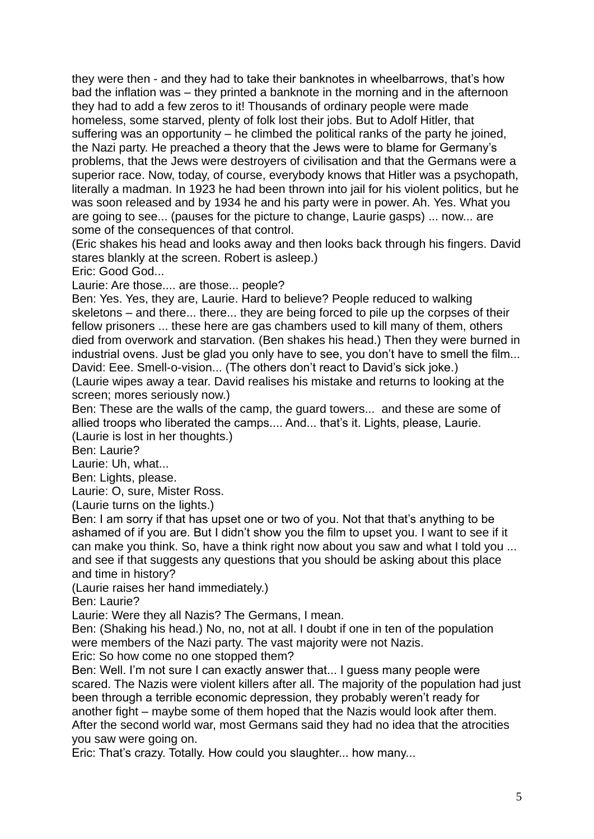they were then - and they had to take their banknotes in wheelbarrows, that's how bad the inflation was – they printed a banknote in the morning and in the afternoon they had to add a few zeros to it! Thousands of ordinary people were made homeless, some starved, plenty of folk lost their jobs. But to Adolf Hitler, that suffering was an opportunity – he climbed the political ranks of the party he joined, the Nazi party. He preached a theory that the Jews were to blame for Germany's problems, that the Jews were destroyers of civilisation and that the Germans were a superior race. Now, today, of course, everybody knows that Hitler was a psychopath, literally a madman. In 1923 he had been thrown into jail for his violent politics, but he was soon released and by 1934 he and his party were in power. Ah. Yes. What you are going to see... (pauses for the picture to change, Laurie gasps) ... now... are some of the consequences of that control.

(Eric shakes his head and looks away and then looks back through his fingers. David stares blankly at the screen. Robert is asleep.)

Eric: Good God...

Laurie: Are those.... are those... people?

Ben: Yes. Yes, they are, Laurie. Hard to believe? People reduced to walking skeletons – and there... there... they are being forced to pile up the corpses of their fellow prisoners ... these here are gas chambers used to kill many of them, others died from overwork and starvation. (Ben shakes his head.) Then they were burned in industrial ovens. Just be glad you only have to see, you don't have to smell the film... David: Eee. Smell-o-vision... (The others don't react to David's sick joke.) (Laurie wipes away a tear. David realises his mistake and returns to looking at the screen; mores seriously now.)

Ben: These are the walls of the camp, the guard towers... and these are some of allied troops who liberated the camps.... And... that's it. Lights, please, Laurie. (Laurie is lost in her thoughts.)

Ben: Laurie?

Laurie: Uh, what...

Ben: Lights, please.

Laurie: O, sure, Mister Ross.

(Laurie turns on the lights.)

Ben: I am sorry if that has upset one or two of you. Not that that's anything to be ashamed of if you are. But I didn't show you the film to upset you. I want to see if it can make you think. So, have a think right now about you saw and what I told you ... and see if that suggests any questions that you should be asking about this place and time in history?

(Laurie raises her hand immediately.)

Ben: Laurie?

Laurie: Were they all Nazis? The Germans, I mean.

Ben: (Shaking his head.) No, no, not at all. I doubt if one in ten of the population were members of the Nazi party. The vast majority were not Nazis.

Eric: So how come no one stopped them?

Ben: Well. I'm not sure I can exactly answer that... I guess many people were scared. The Nazis were violent killers after all. The majority of the population had just been through a terrible economic depression, they probably weren't ready for another fight – maybe some of them hoped that the Nazis would look after them. After the second world war, most Germans said they had no idea that the atrocities you saw were going on.

Eric: That's crazy. Totally. How could you slaughter... how many...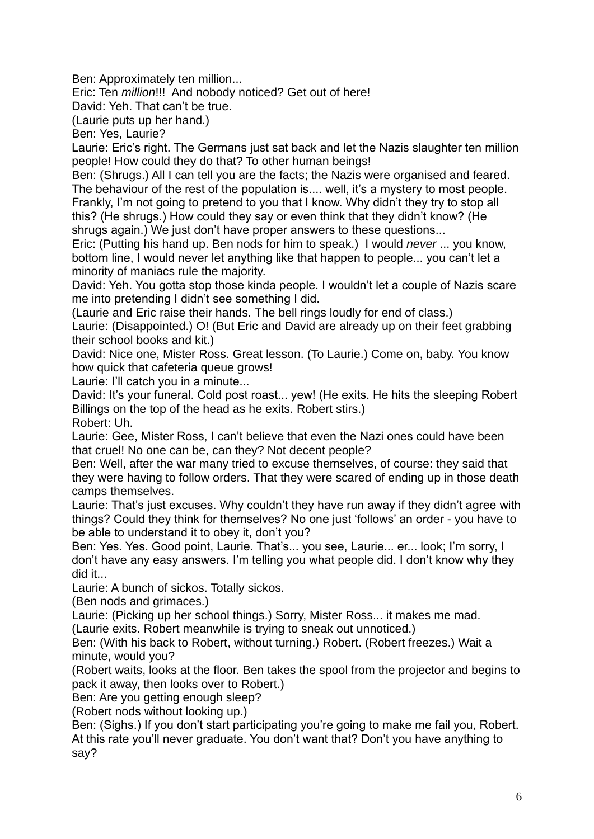Ben: Approximately ten million...

Eric: Ten *million*!!! And nobody noticed? Get out of here!

David: Yeh. That can't be true.

(Laurie puts up her hand.)

Ben: Yes, Laurie?

Laurie: Eric's right. The Germans just sat back and let the Nazis slaughter ten million people! How could they do that? To other human beings!

Ben: (Shrugs.) All I can tell you are the facts; the Nazis were organised and feared. The behaviour of the rest of the population is.... well, it's a mystery to most people. Frankly, I'm not going to pretend to you that I know. Why didn't they try to stop all this? (He shrugs.) How could they say or even think that they didn't know? (He shrugs again.) We just don't have proper answers to these questions...

Eric: (Putting his hand up. Ben nods for him to speak.) I would *never* ... you know, bottom line, I would never let anything like that happen to people... you can't let a minority of maniacs rule the majority.

David: Yeh. You gotta stop those kinda people. I wouldn't let a couple of Nazis scare me into pretending I didn't see something I did.

(Laurie and Eric raise their hands. The bell rings loudly for end of class.)

Laurie: (Disappointed.) O! (But Eric and David are already up on their feet grabbing their school books and kit.)

David: Nice one, Mister Ross. Great lesson. (To Laurie.) Come on, baby. You know how quick that cafeteria queue grows!

Laurie: I'll catch you in a minute...

David: It's your funeral. Cold post roast... yew! (He exits. He hits the sleeping Robert Billings on the top of the head as he exits. Robert stirs.) Robert: Uh.

Laurie: Gee, Mister Ross, I can't believe that even the Nazi ones could have been that cruel! No one can be, can they? Not decent people?

Ben: Well, after the war many tried to excuse themselves, of course: they said that they were having to follow orders. That they were scared of ending up in those death camps themselves.

Laurie: That's just excuses. Why couldn't they have run away if they didn't agree with things? Could they think for themselves? No one just 'follows' an order - you have to be able to understand it to obey it, don't you?

Ben: Yes. Yes. Good point, Laurie. That's... you see, Laurie... er... look; I'm sorry, I don't have any easy answers. I'm telling you what people did. I don't know why they did it...

Laurie: A bunch of sickos. Totally sickos.

(Ben nods and grimaces.)

Laurie: (Picking up her school things.) Sorry, Mister Ross... it makes me mad. (Laurie exits. Robert meanwhile is trying to sneak out unnoticed.)

Ben: (With his back to Robert, without turning.) Robert. (Robert freezes.) Wait a minute, would you?

(Robert waits, looks at the floor. Ben takes the spool from the projector and begins to pack it away, then looks over to Robert.)

Ben: Are you getting enough sleep?

(Robert nods without looking up.)

Ben: (Sighs.) If you don't start participating you're going to make me fail you, Robert. At this rate you'll never graduate. You don't want that? Don't you have anything to say?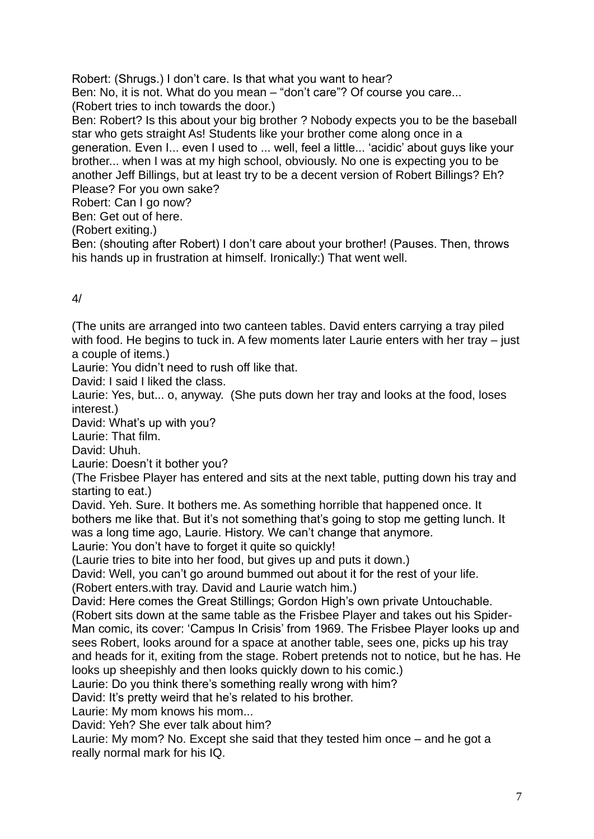Robert: (Shrugs.) I don't care. Is that what you want to hear? Ben: No, it is not. What do you mean – "don't care"? Of course you care...

(Robert tries to inch towards the door.)

Ben: Robert? Is this about your big brother ? Nobody expects you to be the baseball star who gets straight As! Students like your brother come along once in a generation. Even I... even I used to ... well, feel a little... 'acidic' about guys like your brother... when I was at my high school, obviously. No one is expecting you to be another Jeff Billings, but at least try to be a decent version of Robert Billings? Eh? Please? For you own sake?

Robert: Can I go now?

Ben: Get out of here.

(Robert exiting.)

Ben: (shouting after Robert) I don't care about your brother! (Pauses. Then, throws his hands up in frustration at himself. Ironically:) That went well.

# 4/

(The units are arranged into two canteen tables. David enters carrying a tray piled with food. He begins to tuck in. A few moments later Laurie enters with her tray – just a couple of items.)

Laurie: You didn't need to rush off like that.

David: I said I liked the class.

Laurie: Yes, but... o, anyway. (She puts down her tray and looks at the food, loses interest.)

David: What's up with you?

Laurie: That film.

David: Uhuh.

Laurie: Doesn't it bother you?

(The Frisbee Player has entered and sits at the next table, putting down his tray and starting to eat.)

David. Yeh. Sure. It bothers me. As something horrible that happened once. It bothers me like that. But it's not something that's going to stop me getting lunch. It was a long time ago, Laurie. History. We can't change that anymore.

Laurie: You don't have to forget it quite so quickly!

(Laurie tries to bite into her food, but gives up and puts it down.)

David: Well, you can't go around bummed out about it for the rest of your life. (Robert enters.with tray. David and Laurie watch him.)

David: Here comes the Great Stillings; Gordon High's own private Untouchable. (Robert sits down at the same table as the Frisbee Player and takes out his Spider-Man comic, its cover: 'Campus In Crisis' from 1969. The Frisbee Player looks up and sees Robert, looks around for a space at another table, sees one, picks up his tray and heads for it, exiting from the stage. Robert pretends not to notice, but he has. He looks up sheepishly and then looks quickly down to his comic.)

Laurie: Do you think there's something really wrong with him?

David: It's pretty weird that he's related to his brother.

Laurie: My mom knows his mom...

David: Yeh? She ever talk about him?

Laurie: My mom? No. Except she said that they tested him once – and he got a really normal mark for his IQ.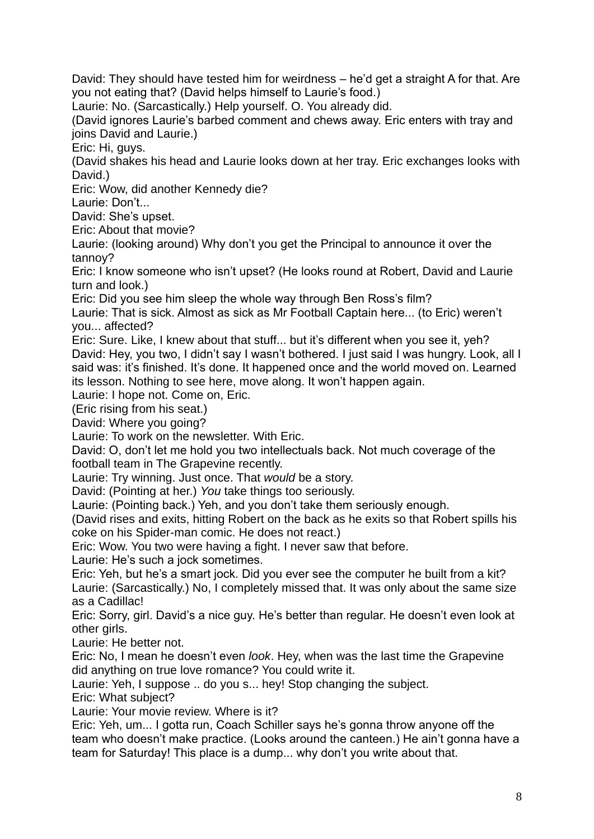David: They should have tested him for weirdness – he'd get a straight A for that. Are you not eating that? (David helps himself to Laurie's food.)

Laurie: No. (Sarcastically.) Help yourself. O. You already did.

(David ignores Laurie's barbed comment and chews away. Eric enters with tray and joins David and Laurie.)

Eric: Hi, guys.

(David shakes his head and Laurie looks down at her tray. Eric exchanges looks with David.)

Eric: Wow, did another Kennedy die?

Laurie: Don't...

David: She's upset.

Eric: About that movie?

Laurie: (looking around) Why don't you get the Principal to announce it over the tannoy?

Eric: I know someone who isn't upset? (He looks round at Robert, David and Laurie turn and look.)

Eric: Did you see him sleep the whole way through Ben Ross's film?

Laurie: That is sick. Almost as sick as Mr Football Captain here... (to Eric) weren't you... affected?

Eric: Sure. Like, I knew about that stuff... but it's different when you see it, yeh? David: Hey, you two, I didn't say I wasn't bothered. I just said I was hungry. Look, all I said was: it's finished. It's done. It happened once and the world moved on. Learned its lesson. Nothing to see here, move along. It won't happen again.

Laurie: I hope not. Come on, Eric.

(Eric rising from his seat.)

David: Where you going?

Laurie: To work on the newsletter. With Eric.

David: O, don't let me hold you two intellectuals back. Not much coverage of the football team in The Grapevine recently.

Laurie: Try winning. Just once. That *would* be a story.

David: (Pointing at her.) *You* take things too seriously.

Laurie: (Pointing back.) Yeh, and you don't take them seriously enough.

(David rises and exits, hitting Robert on the back as he exits so that Robert spills his coke on his Spider-man comic. He does not react.)

Eric: Wow. You two were having a fight. I never saw that before.

Laurie: He's such a jock sometimes.

Eric: Yeh, but he's a smart jock. Did you ever see the computer he built from a kit? Laurie: (Sarcastically.) No, I completely missed that. It was only about the same size as a Cadillac!

Eric: Sorry, girl. David's a nice guy. He's better than regular. He doesn't even look at other girls.

Laurie: He better not.

Eric: No, I mean he doesn't even *look*. Hey, when was the last time the Grapevine did anything on true love romance? You could write it.

Laurie: Yeh, I suppose .. do you s... hey! Stop changing the subject.

Eric: What subject?

Laurie: Your movie review. Where is it?

Eric: Yeh, um... I gotta run, Coach Schiller says he's gonna throw anyone off the team who doesn't make practice. (Looks around the canteen.) He ain't gonna have a team for Saturday! This place is a dump... why don't you write about that.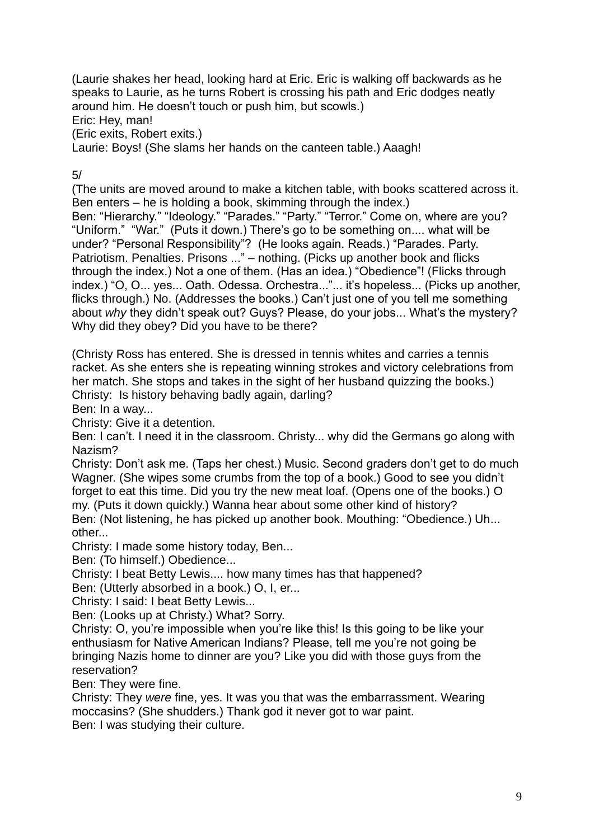(Laurie shakes her head, looking hard at Eric. Eric is walking off backwards as he speaks to Laurie, as he turns Robert is crossing his path and Eric dodges neatly around him. He doesn't touch or push him, but scowls.)

Eric: Hey, man!

(Eric exits, Robert exits.)

Laurie: Boys! (She slams her hands on the canteen table.) Aaagh!

5/

(The units are moved around to make a kitchen table, with books scattered across it. Ben enters – he is holding a book, skimming through the index.)

Ben: "Hierarchy." "Ideology." "Parades." "Party." "Terror." Come on, where are you? "Uniform." "War." (Puts it down.) There's go to be something on.... what will be under? "Personal Responsibility"? (He looks again. Reads.) "Parades. Party. Patriotism. Penalties. Prisons ..." – nothing. (Picks up another book and flicks through the index.) Not a one of them. (Has an idea.) "Obedience"! (Flicks through index.) "O, O... yes... Oath. Odessa. Orchestra..."... it's hopeless... (Picks up another, flicks through.) No. (Addresses the books.) Can't just one of you tell me something about *why* they didn't speak out? Guys? Please, do your jobs... What's the mystery? Why did they obey? Did you have to be there?

(Christy Ross has entered. She is dressed in tennis whites and carries a tennis racket. As she enters she is repeating winning strokes and victory celebrations from her match. She stops and takes in the sight of her husband quizzing the books.) Christy: Is history behaving badly again, darling?

Ben: In a way...

Christy: Give it a detention.

Ben: I can't. I need it in the classroom. Christy... why did the Germans go along with Nazism?

Christy: Don't ask me. (Taps her chest.) Music. Second graders don't get to do much Wagner. (She wipes some crumbs from the top of a book.) Good to see you didn't forget to eat this time. Did you try the new meat loaf. (Opens one of the books.) O my. (Puts it down quickly.) Wanna hear about some other kind of history?

Ben: (Not listening, he has picked up another book. Mouthing: "Obedience.) Uh... other...

Christy: I made some history today, Ben...

Ben: (To himself.) Obedience...

Christy: I beat Betty Lewis.... how many times has that happened?

Ben: (Utterly absorbed in a book.) O, I, er...

Christy: I said: I beat Betty Lewis...

Ben: (Looks up at Christy.) What? Sorry.

Christy: O, you're impossible when you're like this! Is this going to be like your enthusiasm for Native American Indians? Please, tell me you're not going be bringing Nazis home to dinner are you? Like you did with those guys from the reservation?

Ben: They were fine.

Christy: They *were* fine, yes. It was you that was the embarrassment. Wearing moccasins? (She shudders.) Thank god it never got to war paint. Ben: I was studying their culture.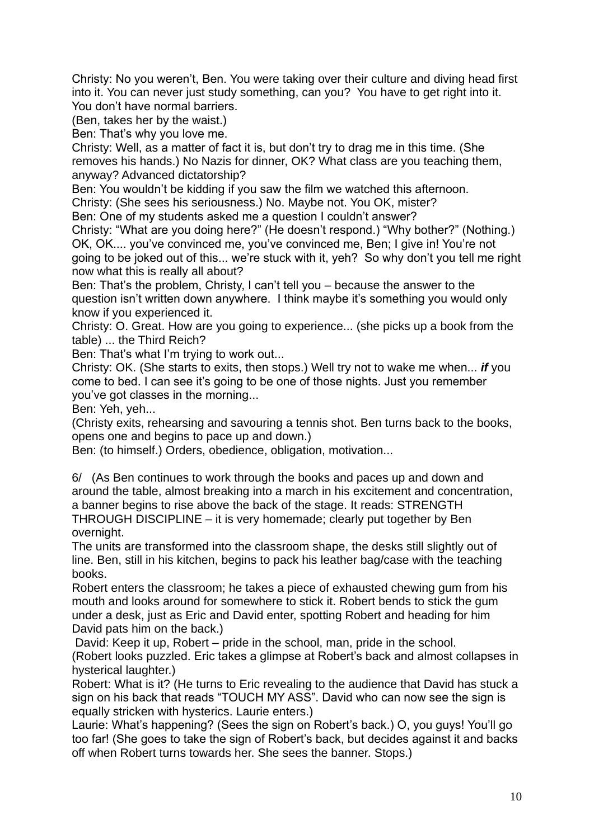Christy: No you weren't, Ben. You were taking over their culture and diving head first into it. You can never just study something, can you? You have to get right into it. You don't have normal barriers.

(Ben, takes her by the waist.)

Ben: That's why you love me.

Christy: Well, as a matter of fact it is, but don't try to drag me in this time. (She removes his hands.) No Nazis for dinner, OK? What class are you teaching them, anyway? Advanced dictatorship?

Ben: You wouldn't be kidding if you saw the film we watched this afternoon. Christy: (She sees his seriousness.) No. Maybe not. You OK, mister?

Ben: One of my students asked me a question I couldn't answer?

Christy: "What are you doing here?" (He doesn't respond.) "Why bother?" (Nothing.) OK, OK.... you've convinced me, you've convinced me, Ben; I give in! You're not going to be joked out of this... we're stuck with it, yeh? So why don't you tell me right now what this is really all about?

Ben: That's the problem, Christy, I can't tell you – because the answer to the question isn't written down anywhere. I think maybe it's something you would only know if you experienced it.

Christy: O. Great. How are you going to experience... (she picks up a book from the table) ... the Third Reich?

Ben: That's what I'm trying to work out...

Christy: OK. (She starts to exits, then stops.) Well try not to wake me when... *if* you come to bed. I can see it's going to be one of those nights. Just you remember you've got classes in the morning...

Ben: Yeh, yeh...

(Christy exits, rehearsing and savouring a tennis shot. Ben turns back to the books, opens one and begins to pace up and down.)

Ben: (to himself.) Orders, obedience, obligation, motivation...

6/ (As Ben continues to work through the books and paces up and down and around the table, almost breaking into a march in his excitement and concentration, a banner begins to rise above the back of the stage. It reads: STRENGTH THROUGH DISCIPLINE – it is very homemade; clearly put together by Ben overnight.

The units are transformed into the classroom shape, the desks still slightly out of line. Ben, still in his kitchen, begins to pack his leather bag/case with the teaching books.

Robert enters the classroom; he takes a piece of exhausted chewing gum from his mouth and looks around for somewhere to stick it. Robert bends to stick the gum under a desk, just as Eric and David enter, spotting Robert and heading for him David pats him on the back.)

David: Keep it up, Robert – pride in the school, man, pride in the school. (Robert looks puzzled. Eric takes a glimpse at Robert's back and almost collapses in hysterical laughter.)

Robert: What is it? (He turns to Eric revealing to the audience that David has stuck a sign on his back that reads "TOUCH MY ASS". David who can now see the sign is equally stricken with hysterics. Laurie enters.)

Laurie: What's happening? (Sees the sign on Robert's back.) O, you guys! You'll go too far! (She goes to take the sign of Robert's back, but decides against it and backs off when Robert turns towards her. She sees the banner. Stops.)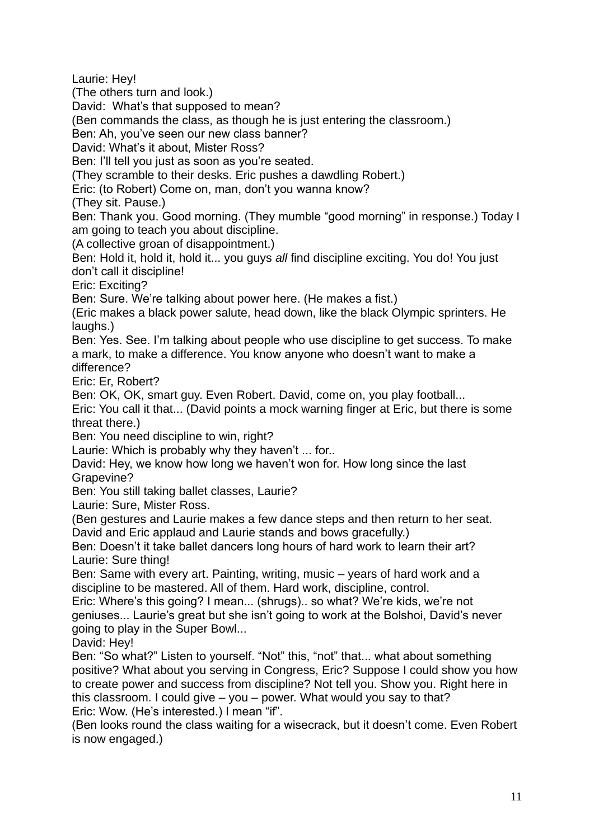Laurie: Hey!

(The others turn and look.)

David: What's that supposed to mean?

(Ben commands the class, as though he is just entering the classroom.)

Ben: Ah, you've seen our new class banner?

David: What's it about, Mister Ross?

Ben: I'll tell you just as soon as you're seated.

(They scramble to their desks. Eric pushes a dawdling Robert.)

Eric: (to Robert) Come on, man, don't you wanna know?

(They sit. Pause.)

Ben: Thank you. Good morning. (They mumble "good morning" in response.) Today I am going to teach you about discipline.

(A collective groan of disappointment.)

Ben: Hold it, hold it, hold it... you guys *all* find discipline exciting. You do! You just don't call it discipline!

Eric: Exciting?

Ben: Sure. We're talking about power here. (He makes a fist.)

(Eric makes a black power salute, head down, like the black Olympic sprinters. He laughs.)

Ben: Yes. See. I'm talking about people who use discipline to get success. To make a mark, to make a difference. You know anyone who doesn't want to make a difference?

Eric: Er, Robert?

Ben: OK, OK, smart guy. Even Robert. David, come on, you play football...

Eric: You call it that... (David points a mock warning finger at Eric, but there is some threat there.)

Ben: You need discipline to win, right?

Laurie: Which is probably why they haven't ... for..

David: Hey, we know how long we haven't won for. How long since the last Grapevine?

Ben: You still taking ballet classes, Laurie?

Laurie: Sure, Mister Ross.

(Ben gestures and Laurie makes a few dance steps and then return to her seat. David and Eric applaud and Laurie stands and bows gracefully.)

Ben: Doesn't it take ballet dancers long hours of hard work to learn their art? Laurie: Sure thing!

Ben: Same with every art. Painting, writing, music – years of hard work and a discipline to be mastered. All of them. Hard work, discipline, control.

Eric: Where's this going? I mean... (shrugs).. so what? We're kids, we're not geniuses... Laurie's great but she isn't going to work at the Bolshoi, David's never going to play in the Super Bowl...

David: Hey!

Ben: "So what?" Listen to yourself. "Not" this, "not" that... what about something positive? What about you serving in Congress, Eric? Suppose I could show you how to create power and success from discipline? Not tell you. Show you. Right here in this classroom. I could give – you – power. What would you say to that? Eric: Wow. (He's interested.) I mean "if".

(Ben looks round the class waiting for a wisecrack, but it doesn't come. Even Robert is now engaged.)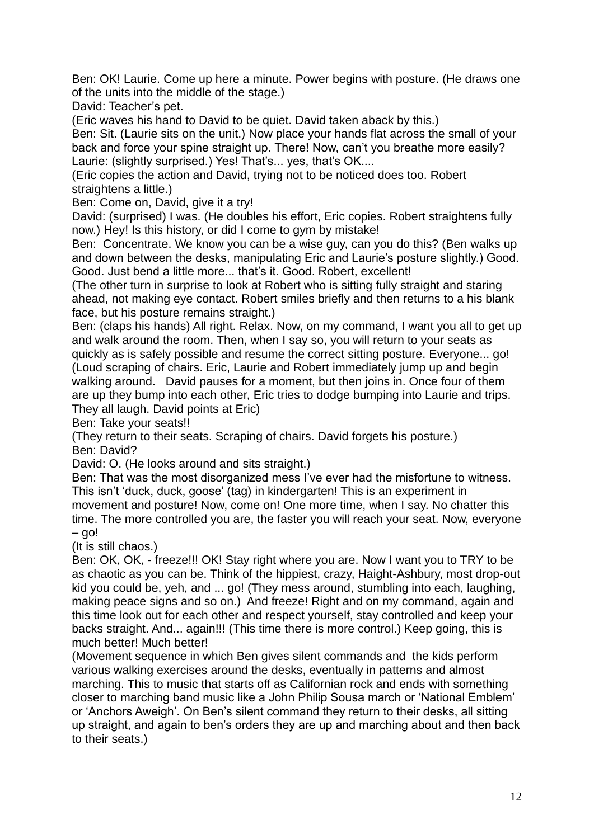Ben: OK! Laurie. Come up here a minute. Power begins with posture. (He draws one of the units into the middle of the stage.)

David: Teacher's pet.

(Eric waves his hand to David to be quiet. David taken aback by this.)

Ben: Sit. (Laurie sits on the unit.) Now place your hands flat across the small of your back and force your spine straight up. There! Now, can't you breathe more easily? Laurie: (slightly surprised.) Yes! That's... yes, that's OK....

(Eric copies the action and David, trying not to be noticed does too. Robert straightens a little.)

Ben: Come on, David, give it a try!

David: (surprised) I was. (He doubles his effort, Eric copies. Robert straightens fully now.) Hey! Is this history, or did I come to gym by mistake!

Ben: Concentrate. We know you can be a wise guy, can you do this? (Ben walks up and down between the desks, manipulating Eric and Laurie's posture slightly.) Good. Good. Just bend a little more... that's it. Good. Robert, excellent!

(The other turn in surprise to look at Robert who is sitting fully straight and staring ahead, not making eye contact. Robert smiles briefly and then returns to a his blank face, but his posture remains straight.)

Ben: (claps his hands) All right. Relax. Now, on my command. I want you all to get up and walk around the room. Then, when I say so, you will return to your seats as quickly as is safely possible and resume the correct sitting posture. Everyone... go! (Loud scraping of chairs. Eric, Laurie and Robert immediately jump up and begin walking around. David pauses for a moment, but then joins in. Once four of them are up they bump into each other, Eric tries to dodge bumping into Laurie and trips. They all laugh. David points at Eric)

Ben: Take your seats!!

(They return to their seats. Scraping of chairs. David forgets his posture.) Ben: David?

David: O. (He looks around and sits straight.)

Ben: That was the most disorganized mess I've ever had the misfortune to witness. This isn't 'duck, duck, goose' (tag) in kindergarten! This is an experiment in movement and posture! Now, come on! One more time, when I say. No chatter this time. The more controlled you are, the faster you will reach your seat. Now, everyone  $-$  go!

(It is still chaos.)

Ben: OK, OK, - freeze!!! OK! Stay right where you are. Now I want you to TRY to be as chaotic as you can be. Think of the hippiest, crazy, Haight-Ashbury, most drop-out kid you could be, yeh, and ... go! (They mess around, stumbling into each, laughing, making peace signs and so on.) And freeze! Right and on my command, again and this time look out for each other and respect yourself, stay controlled and keep your backs straight. And... again!!! (This time there is more control.) Keep going, this is much better! Much better!

(Movement sequence in which Ben gives silent commands and the kids perform various walking exercises around the desks, eventually in patterns and almost marching. This to music that starts off as Californian rock and ends with something closer to marching band music like a John Philip Sousa march or 'National Emblem' or 'Anchors Aweigh'. On Ben's silent command they return to their desks, all sitting up straight, and again to ben's orders they are up and marching about and then back to their seats.)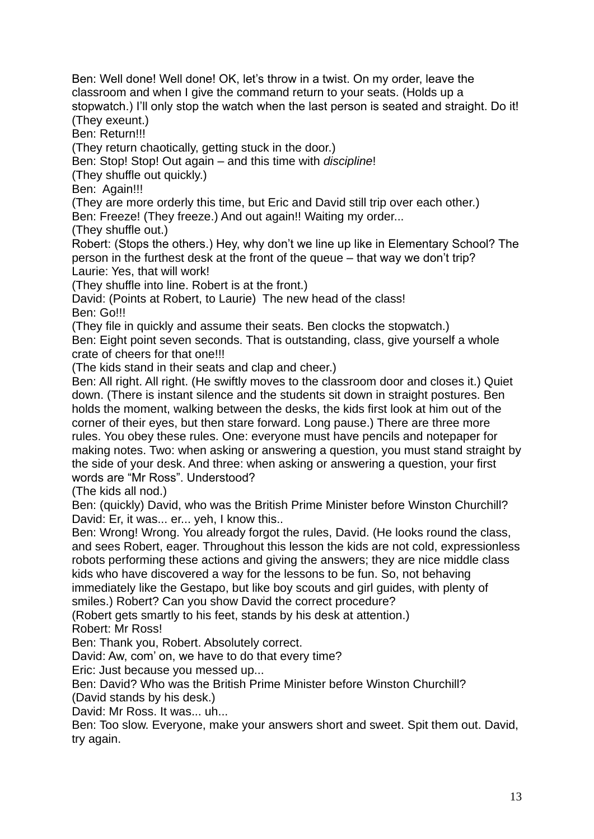Ben: Well done! Well done! OK, let's throw in a twist. On my order, leave the classroom and when I give the command return to your seats. (Holds up a stopwatch.) I'll only stop the watch when the last person is seated and straight. Do it! (They exeunt.)

Ben: Return!!!

(They return chaotically, getting stuck in the door.)

Ben: Stop! Stop! Out again – and this time with *discipline*!

(They shuffle out quickly.)

Ben: Again!!!

(They are more orderly this time, but Eric and David still trip over each other.)

Ben: Freeze! (They freeze.) And out again!! Waiting my order...

(They shuffle out.)

Robert: (Stops the others.) Hey, why don't we line up like in Elementary School? The person in the furthest desk at the front of the queue – that way we don't trip? Laurie: Yes, that will work!

(They shuffle into line. Robert is at the front.)

David: (Points at Robert, to Laurie) The new head of the class! Ben: Go!!!

(They file in quickly and assume their seats. Ben clocks the stopwatch.)

Ben: Eight point seven seconds. That is outstanding, class, give yourself a whole crate of cheers for that one!!!

(The kids stand in their seats and clap and cheer.)

Ben: All right. All right. (He swiftly moves to the classroom door and closes it.) Quiet down. (There is instant silence and the students sit down in straight postures. Ben holds the moment, walking between the desks, the kids first look at him out of the corner of their eyes, but then stare forward. Long pause.) There are three more rules. You obey these rules. One: everyone must have pencils and notepaper for making notes. Two: when asking or answering a question, you must stand straight by the side of your desk. And three: when asking or answering a question, your first words are "Mr Ross". Understood?

(The kids all nod.)

Ben: (quickly) David, who was the British Prime Minister before Winston Churchill? David: Er, it was... er... yeh, I know this..

Ben: Wrong! Wrong. You already forgot the rules, David. (He looks round the class, and sees Robert, eager. Throughout this lesson the kids are not cold, expressionless robots performing these actions and giving the answers; they are nice middle class kids who have discovered a way for the lessons to be fun. So, not behaving immediately like the Gestapo, but like boy scouts and girl guides, with plenty of smiles.) Robert? Can you show David the correct procedure?

(Robert gets smartly to his feet, stands by his desk at attention.) Robert: Mr Ross!

Ben: Thank you, Robert. Absolutely correct.

David: Aw, com' on, we have to do that every time?

Eric: Just because you messed up...

Ben: David? Who was the British Prime Minister before Winston Churchill? (David stands by his desk.)

David: Mr Ross. It was... uh...

Ben: Too slow. Everyone, make your answers short and sweet. Spit them out. David, try again.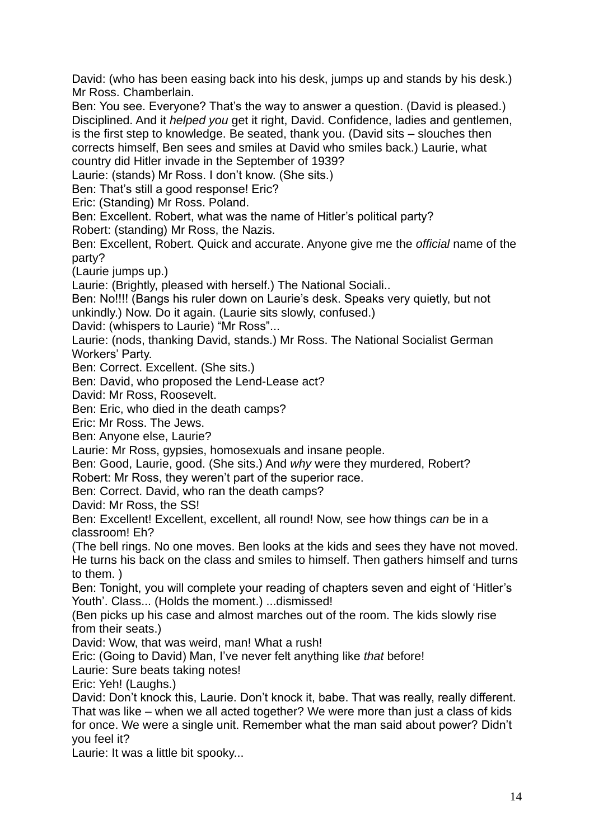David: (who has been easing back into his desk, jumps up and stands by his desk.) Mr Ross. Chamberlain.

Ben: You see. Everyone? That's the way to answer a question. (David is pleased.) Disciplined. And it *helped you* get it right, David. Confidence, ladies and gentlemen, is the first step to knowledge. Be seated, thank you. (David sits – slouches then corrects himself, Ben sees and smiles at David who smiles back.) Laurie, what country did Hitler invade in the September of 1939?

Laurie: (stands) Mr Ross. I don't know. (She sits.)

Ben: That's still a good response! Eric?

Eric: (Standing) Mr Ross. Poland.

Ben: Excellent. Robert, what was the name of Hitler's political party?

Robert: (standing) Mr Ross, the Nazis.

Ben: Excellent, Robert. Quick and accurate. Anyone give me the *official* name of the party?

(Laurie jumps up.)

Laurie: (Brightly, pleased with herself.) The National Sociali..

Ben: No!!!! (Bangs his ruler down on Laurie's desk. Speaks very quietly, but not unkindly.) Now. Do it again. (Laurie sits slowly, confused.)

David: (whispers to Laurie) "Mr Ross"...

Laurie: (nods, thanking David, stands.) Mr Ross. The National Socialist German Workers' Party.

Ben: Correct. Excellent. (She sits.)

Ben: David, who proposed the Lend-Lease act?

David: Mr Ross, Roosevelt.

Ben: Eric, who died in the death camps?

Eric: Mr Ross. The Jews.

Ben: Anyone else, Laurie?

Laurie: Mr Ross, gypsies, homosexuals and insane people.

Ben: Good, Laurie, good. (She sits.) And *why* were they murdered, Robert?

Robert: Mr Ross, they weren't part of the superior race.

Ben: Correct. David, who ran the death camps?

David: Mr Ross, the SS!

Ben: Excellent! Excellent, excellent, all round! Now, see how things *can* be in a classroom! Eh?

(The bell rings. No one moves. Ben looks at the kids and sees they have not moved. He turns his back on the class and smiles to himself. Then gathers himself and turns to them. )

Ben: Tonight, you will complete your reading of chapters seven and eight of 'Hitler's Youth'. Class... (Holds the moment.) ...dismissed!

(Ben picks up his case and almost marches out of the room. The kids slowly rise from their seats.)

David: Wow, that was weird, man! What a rush!

Eric: (Going to David) Man, I've never felt anything like *that* before!

Laurie: Sure beats taking notes!

Eric: Yeh! (Laughs.)

David: Don't knock this, Laurie. Don't knock it, babe. That was really, really different. That was like – when we all acted together? We were more than just a class of kids for once. We were a single unit. Remember what the man said about power? Didn't you feel it?

Laurie: It was a little bit spooky...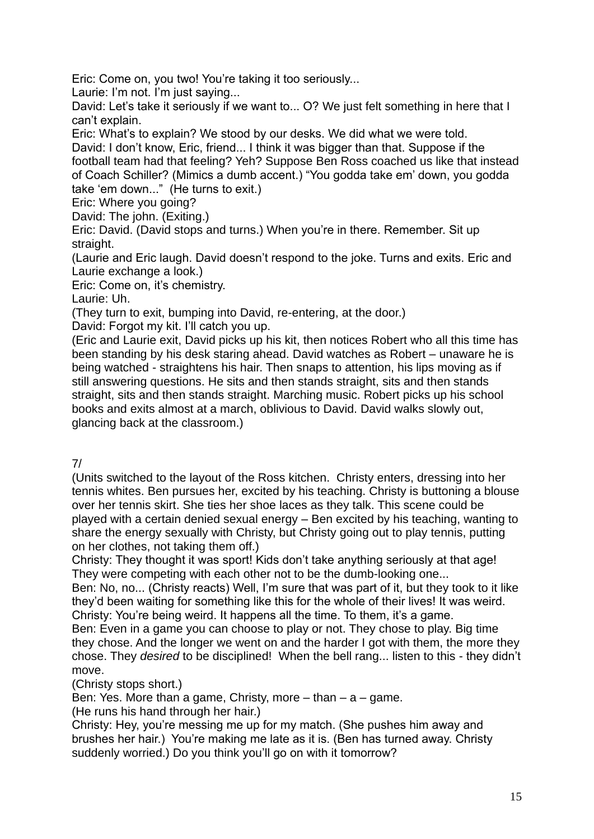Eric: Come on, you two! You're taking it too seriously...

Laurie: I'm not. I'm just saying...

David: Let's take it seriously if we want to... O? We just felt something in here that I can't explain.

Eric: What's to explain? We stood by our desks. We did what we were told.

David: I don't know, Eric, friend... I think it was bigger than that. Suppose if the football team had that feeling? Yeh? Suppose Ben Ross coached us like that instead of Coach Schiller? (Mimics a dumb accent.) "You godda take em' down, you godda take 'em down..." (He turns to exit.)

Eric: Where you going?

David: The john. (Exiting.)

Eric: David. (David stops and turns.) When you're in there. Remember. Sit up straight.

(Laurie and Eric laugh. David doesn't respond to the joke. Turns and exits. Eric and Laurie exchange a look.)

Eric: Come on, it's chemistry.

Laurie: Uh.

(They turn to exit, bumping into David, re-entering, at the door.)

David: Forgot my kit. I'll catch you up.

(Eric and Laurie exit, David picks up his kit, then notices Robert who all this time has been standing by his desk staring ahead. David watches as Robert – unaware he is being watched - straightens his hair. Then snaps to attention, his lips moving as if still answering questions. He sits and then stands straight, sits and then stands straight, sits and then stands straight. Marching music. Robert picks up his school books and exits almost at a march, oblivious to David. David walks slowly out, glancing back at the classroom.)

### 7/

(Units switched to the layout of the Ross kitchen. Christy enters, dressing into her tennis whites. Ben pursues her, excited by his teaching. Christy is buttoning a blouse over her tennis skirt. She ties her shoe laces as they talk. This scene could be played with a certain denied sexual energy – Ben excited by his teaching, wanting to share the energy sexually with Christy, but Christy going out to play tennis, putting on her clothes, not taking them off.)

Christy: They thought it was sport! Kids don't take anything seriously at that age! They were competing with each other not to be the dumb-looking one...

Ben: No, no... (Christy reacts) Well, I'm sure that was part of it, but they took to it like they'd been waiting for something like this for the whole of their lives! It was weird. Christy: You're being weird. It happens all the time. To them, it's a game.

Ben: Even in a game you can choose to play or not. They chose to play. Big time they chose. And the longer we went on and the harder I got with them, the more they chose. They *desired* to be disciplined! When the bell rang... listen to this - they didn't move.

(Christy stops short.)

Ben: Yes. More than a game, Christy, more – than  $-a -$  game.

(He runs his hand through her hair.)

Christy: Hey, you're messing me up for my match. (She pushes him away and brushes her hair.) You're making me late as it is. (Ben has turned away. Christy suddenly worried.) Do you think you'll go on with it tomorrow?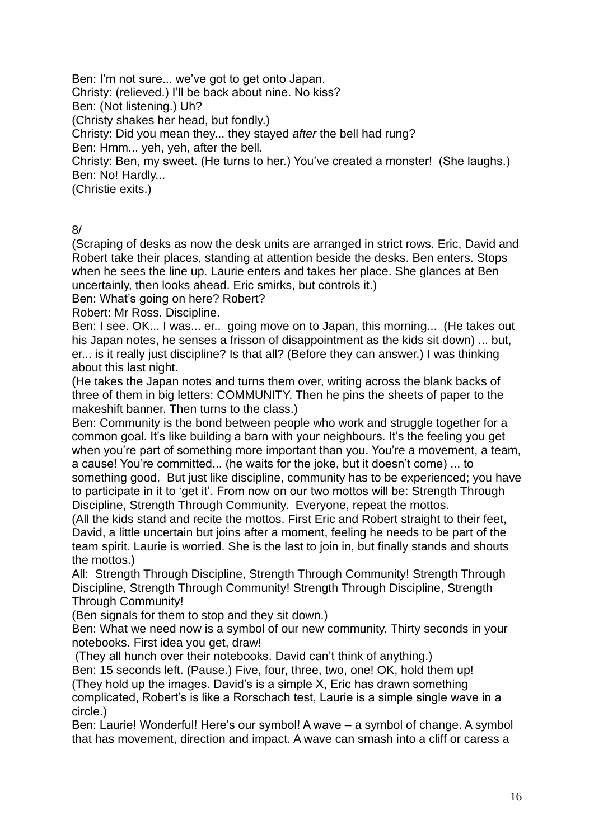Ben: I'm not sure... we've got to get onto Japan. Christy: (relieved.) I'll be back about nine. No kiss? Ben: (Not listening.) Uh? (Christy shakes her head, but fondly.) Christy: Did you mean they... they stayed *after* the bell had rung? Ben: Hmm... yeh, yeh, after the bell. Christy: Ben, my sweet. (He turns to her.) You've created a monster! (She laughs.) Ben: No! Hardly... (Christie exits.)

8/

(Scraping of desks as now the desk units are arranged in strict rows. Eric, David and Robert take their places, standing at attention beside the desks. Ben enters. Stops when he sees the line up. Laurie enters and takes her place. She glances at Ben uncertainly, then looks ahead. Eric smirks, but controls it.)

Ben: What's going on here? Robert?

Robert: Mr Ross. Discipline.

Ben: I see. OK... I was... er.. going move on to Japan, this morning... (He takes out his Japan notes, he senses a frisson of disappointment as the kids sit down) ... but, er... is it really just discipline? Is that all? (Before they can answer.) I was thinking about this last night.

(He takes the Japan notes and turns them over, writing across the blank backs of three of them in big letters: COMMUNITY. Then he pins the sheets of paper to the makeshift banner. Then turns to the class.)

Ben: Community is the bond between people who work and struggle together for a common goal. It's like building a barn with your neighbours. It's the feeling you get when you're part of something more important than you. You're a movement, a team, a cause! You're committed... (he waits for the joke, but it doesn't come) ... to something good. But just like discipline, community has to be experienced; you have

to participate in it to 'get it'. From now on our two mottos will be: Strength Through Discipline, Strength Through Community. Everyone, repeat the mottos.

(All the kids stand and recite the mottos. First Eric and Robert straight to their feet, David, a little uncertain but joins after a moment, feeling he needs to be part of the team spirit. Laurie is worried. She is the last to join in, but finally stands and shouts the mottos.)

All: Strength Through Discipline, Strength Through Community! Strength Through Discipline, Strength Through Community! Strength Through Discipline, Strength Through Community!

(Ben signals for them to stop and they sit down.)

Ben: What we need now is a symbol of our new community. Thirty seconds in your notebooks. First idea you get, draw!

(They all hunch over their notebooks. David can't think of anything.)

Ben: 15 seconds left. (Pause.) Five, four, three, two, one! OK, hold them up! (They hold up the images. David's is a simple X, Eric has drawn something complicated, Robert's is like a Rorschach test, Laurie is a simple single wave in a circle.)

Ben: Laurie! Wonderful! Here's our symbol! A wave – a symbol of change. A symbol that has movement, direction and impact. A wave can smash into a cliff or caress a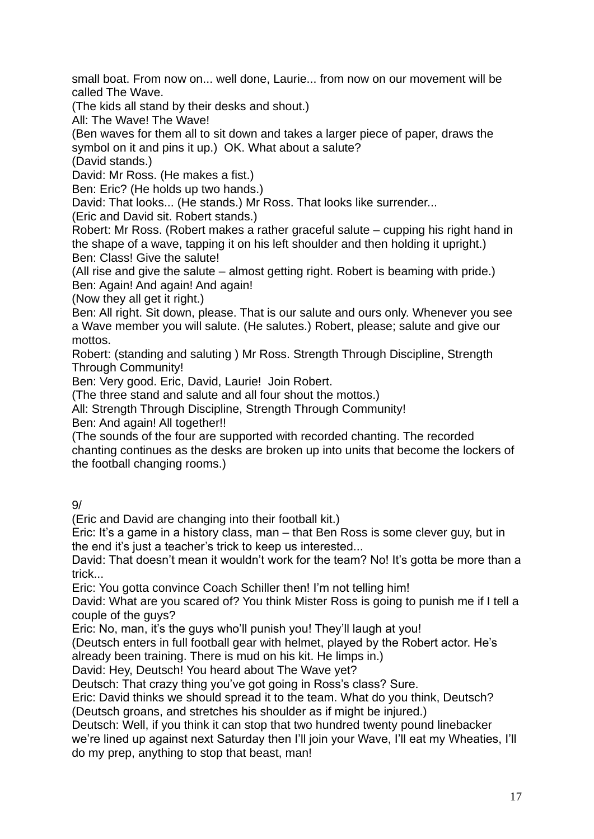small boat. From now on... well done, Laurie... from now on our movement will be called The Wave.

(The kids all stand by their desks and shout.)

All: The Wave! The Wave!

(Ben waves for them all to sit down and takes a larger piece of paper, draws the symbol on it and pins it up.) OK. What about a salute?

(David stands.)

David: Mr Ross. (He makes a fist.)

Ben: Eric? (He holds up two hands.)

David: That looks... (He stands.) Mr Ross. That looks like surrender...

(Eric and David sit. Robert stands.)

Robert: Mr Ross. (Robert makes a rather graceful salute – cupping his right hand in the shape of a wave, tapping it on his left shoulder and then holding it upright.) Ben: Class! Give the salute!

(All rise and give the salute – almost getting right. Robert is beaming with pride.) Ben: Again! And again! And again!

(Now they all get it right.)

Ben: All right. Sit down, please. That is our salute and ours only. Whenever you see a Wave member you will salute. (He salutes.) Robert, please; salute and give our mottos.

Robert: (standing and saluting ) Mr Ross. Strength Through Discipline, Strength Through Community!

Ben: Very good. Eric, David, Laurie! Join Robert.

(The three stand and salute and all four shout the mottos.)

All: Strength Through Discipline, Strength Through Community!

Ben: And again! All together!!

(The sounds of the four are supported with recorded chanting. The recorded chanting continues as the desks are broken up into units that become the lockers of the football changing rooms.)

9/

(Eric and David are changing into their football kit.)

Eric: It's a game in a history class, man – that Ben Ross is some clever guy, but in the end it's just a teacher's trick to keep us interested...

David: That doesn't mean it wouldn't work for the team? No! It's gotta be more than a trick...

Eric: You gotta convince Coach Schiller then! I'm not telling him!

David: What are you scared of? You think Mister Ross is going to punish me if I tell a couple of the guys?

Eric: No, man, it's the guys who'll punish you! They'll laugh at you!

(Deutsch enters in full football gear with helmet, played by the Robert actor. He's already been training. There is mud on his kit. He limps in.)

David: Hey, Deutsch! You heard about The Wave yet?

Deutsch: That crazy thing you've got going in Ross's class? Sure.

Eric: David thinks we should spread it to the team. What do you think, Deutsch?

(Deutsch groans, and stretches his shoulder as if might be injured.)

Deutsch: Well, if you think it can stop that two hundred twenty pound linebacker we're lined up against next Saturday then I'll join your Wave, I'll eat my Wheaties, I'll do my prep, anything to stop that beast, man!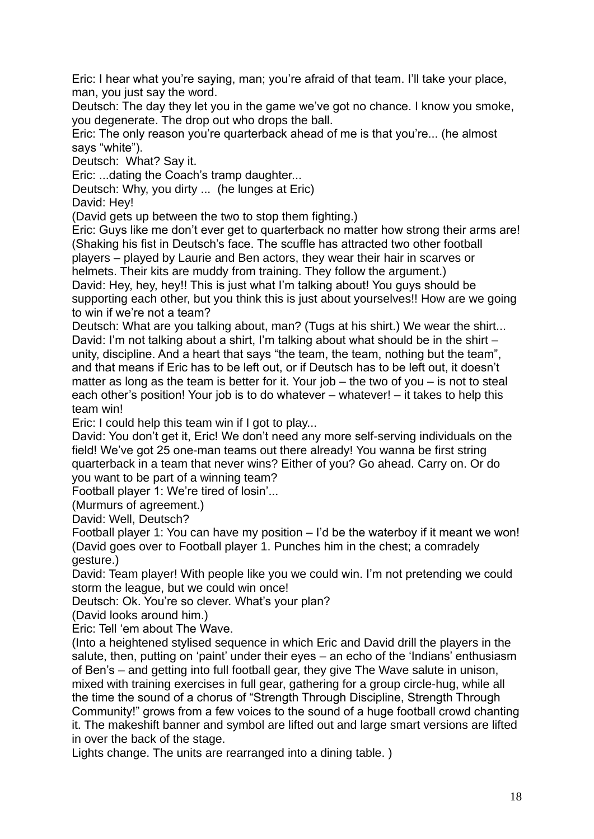Eric: I hear what you're saying, man; you're afraid of that team. I'll take your place, man, you just say the word.

Deutsch: The day they let you in the game we've got no chance. I know you smoke, you degenerate. The drop out who drops the ball.

Eric: The only reason you're quarterback ahead of me is that you're... (he almost says "white").

Deutsch: What? Say it.

Eric: ...dating the Coach's tramp daughter...

Deutsch: Why, you dirty ... (he lunges at Eric)

David: Hey!

(David gets up between the two to stop them fighting.)

Eric: Guys like me don't ever get to quarterback no matter how strong their arms are! (Shaking his fist in Deutsch's face. The scuffle has attracted two other football players – played by Laurie and Ben actors, they wear their hair in scarves or helmets. Their kits are muddy from training. They follow the argument.) David: Hey, hey, hey!! This is just what I'm talking about! You guys should be supporting each other, but you think this is just about yourselves!! How are we going to win if we're not a team?

Deutsch: What are you talking about, man? (Tugs at his shirt.) We wear the shirt... David: I'm not talking about a shirt, I'm talking about what should be in the shirt – unity, discipline. And a heart that says "the team, the team, nothing but the team", and that means if Eric has to be left out, or if Deutsch has to be left out, it doesn't matter as long as the team is better for it. Your job – the two of you – is not to steal each other's position! Your job is to do whatever – whatever! – it takes to help this team win!

Eric: I could help this team win if I got to play...

David: You don't get it, Eric! We don't need any more self-serving individuals on the field! We've got 25 one-man teams out there already! You wanna be first string quarterback in a team that never wins? Either of you? Go ahead. Carry on. Or do you want to be part of a winning team?

Football player 1: We're tired of losin'...

(Murmurs of agreement.)

David: Well, Deutsch?

Football player 1: You can have my position – I'd be the waterboy if it meant we won! (David goes over to Football player 1. Punches him in the chest; a comradely gesture.)

David: Team player! With people like you we could win. I'm not pretending we could storm the league, but we could win once!

Deutsch: Ok. You're so clever. What's your plan?

(David looks around him.)

Eric: Tell 'em about The Wave.

(Into a heightened stylised sequence in which Eric and David drill the players in the salute, then, putting on 'paint' under their eyes – an echo of the 'Indians' enthusiasm of Ben's – and getting into full football gear, they give The Wave salute in unison, mixed with training exercises in full gear, gathering for a group circle-hug, while all the time the sound of a chorus of "Strength Through Discipline, Strength Through Community!" grows from a few voices to the sound of a huge football crowd chanting it. The makeshift banner and symbol are lifted out and large smart versions are lifted in over the back of the stage.

Lights change. The units are rearranged into a dining table. )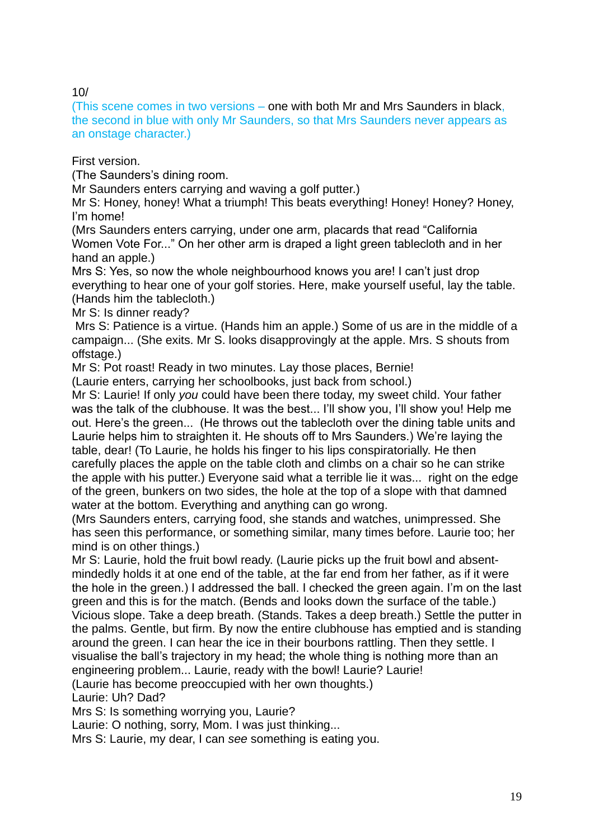# 10/

(This scene comes in two versions – one with both Mr and Mrs Saunders in black, the second in blue with only Mr Saunders, so that Mrs Saunders never appears as an onstage character.)

First version.

(The Saunders's dining room.

Mr Saunders enters carrying and waving a golf putter.)

Mr S: Honey, honey! What a triumph! This beats everything! Honey! Honey? Honey, I'm home!

(Mrs Saunders enters carrying, under one arm, placards that read "California Women Vote For..." On her other arm is draped a light green tablecloth and in her hand an apple.)

Mrs S: Yes, so now the whole neighbourhood knows you are! I can't just drop everything to hear one of your golf stories. Here, make yourself useful, lay the table. (Hands him the tablecloth.)

Mr S: Is dinner ready?

Mrs S: Patience is a virtue. (Hands him an apple.) Some of us are in the middle of a campaign... (She exits. Mr S. looks disapprovingly at the apple. Mrs. S shouts from offstage.)

Mr S: Pot roast! Ready in two minutes. Lay those places, Bernie!

(Laurie enters, carrying her schoolbooks, just back from school.)

Mr S: Laurie! If only *you* could have been there today, my sweet child. Your father was the talk of the clubhouse. It was the best... I'll show you, I'll show you! Help me out. Here's the green... (He throws out the tablecloth over the dining table units and Laurie helps him to straighten it. He shouts off to Mrs Saunders.) We're laying the table, dear! (To Laurie, he holds his finger to his lips conspiratorially. He then carefully places the apple on the table cloth and climbs on a chair so he can strike the apple with his putter.) Everyone said what a terrible lie it was... right on the edge of the green, bunkers on two sides, the hole at the top of a slope with that damned water at the bottom. Everything and anything can go wrong.

(Mrs Saunders enters, carrying food, she stands and watches, unimpressed. She has seen this performance, or something similar, many times before. Laurie too; her mind is on other things.)

Mr S: Laurie, hold the fruit bowl ready. (Laurie picks up the fruit bowl and absentmindedly holds it at one end of the table, at the far end from her father, as if it were the hole in the green.) I addressed the ball. I checked the green again. I'm on the last green and this is for the match. (Bends and looks down the surface of the table.) Vicious slope. Take a deep breath. (Stands. Takes a deep breath.) Settle the putter in the palms. Gentle, but firm. By now the entire clubhouse has emptied and is standing around the green. I can hear the ice in their bourbons rattling. Then they settle. I visualise the ball's trajectory in my head; the whole thing is nothing more than an engineering problem... Laurie, ready with the bowl! Laurie? Laurie!

(Laurie has become preoccupied with her own thoughts.)

Laurie: Uh? Dad?

Mrs S: Is something worrying you, Laurie?

Laurie: O nothing, sorry, Mom. I was just thinking...

Mrs S: Laurie, my dear, I can *see* something is eating you.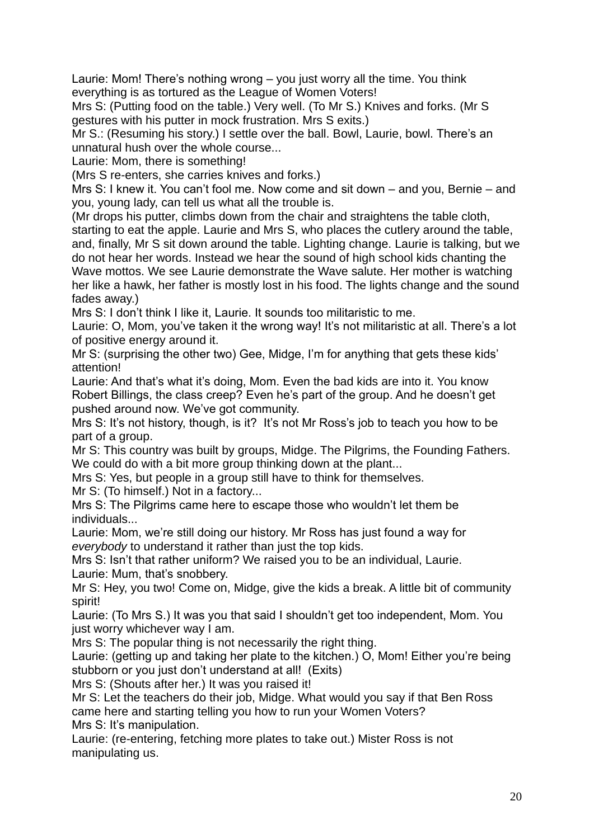Laurie: Mom! There's nothing wrong – you just worry all the time. You think everything is as tortured as the League of Women Voters!

Mrs S: (Putting food on the table.) Very well. (To Mr S.) Knives and forks. (Mr S gestures with his putter in mock frustration. Mrs S exits.)

Mr S.: (Resuming his story.) I settle over the ball. Bowl, Laurie, bowl. There's an unnatural hush over the whole course...

Laurie: Mom, there is something!

(Mrs S re-enters, she carries knives and forks.)

Mrs S: I knew it. You can't fool me. Now come and sit down – and you, Bernie – and you, young lady, can tell us what all the trouble is.

(Mr drops his putter, climbs down from the chair and straightens the table cloth, starting to eat the apple. Laurie and Mrs S, who places the cutlery around the table, and, finally, Mr S sit down around the table. Lighting change. Laurie is talking, but we do not hear her words. Instead we hear the sound of high school kids chanting the Wave mottos. We see Laurie demonstrate the Wave salute. Her mother is watching her like a hawk, her father is mostly lost in his food. The lights change and the sound fades away.)

Mrs S: I don't think I like it, Laurie. It sounds too militaristic to me.

Laurie: O, Mom, you've taken it the wrong way! It's not militaristic at all. There's a lot of positive energy around it.

Mr S: (surprising the other two) Gee, Midge, I'm for anything that gets these kids' attention!

Laurie: And that's what it's doing, Mom. Even the bad kids are into it. You know Robert Billings, the class creep? Even he's part of the group. And he doesn't get pushed around now. We've got community.

Mrs S: It's not history, though, is it? It's not Mr Ross's job to teach you how to be part of a group.

Mr S: This country was built by groups, Midge. The Pilgrims, the Founding Fathers. We could do with a bit more group thinking down at the plant...

Mrs S: Yes, but people in a group still have to think for themselves.

Mr S: (To himself.) Not in a factory...

Mrs S: The Pilgrims came here to escape those who wouldn't let them be individuals...

Laurie: Mom, we're still doing our history. Mr Ross has just found a way for *everybody* to understand it rather than just the top kids.

Mrs S: Isn't that rather uniform? We raised you to be an individual, Laurie. Laurie: Mum, that's snobbery.

Mr S: Hey, you two! Come on, Midge, give the kids a break. A little bit of community spirit!

Laurie: (To Mrs S.) It was you that said I shouldn't get too independent, Mom. You just worry whichever way I am.

Mrs S: The popular thing is not necessarily the right thing.

Laurie: (getting up and taking her plate to the kitchen.) O, Mom! Either you're being stubborn or you just don't understand at all! (Exits)

Mrs S: (Shouts after her.) It was you raised it!

Mr S: Let the teachers do their job, Midge. What would you say if that Ben Ross came here and starting telling you how to run your Women Voters? Mrs S: It's manipulation.

Laurie: (re-entering, fetching more plates to take out.) Mister Ross is not manipulating us.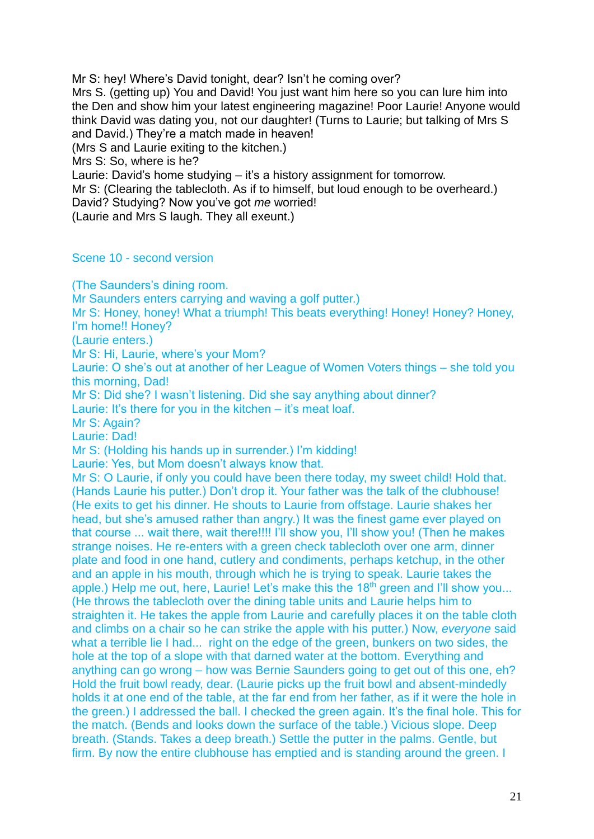Mr S: hey! Where's David tonight, dear? Isn't he coming over? Mrs S. (getting up) You and David! You just want him here so you can lure him into the Den and show him your latest engineering magazine! Poor Laurie! Anyone would think David was dating you, not our daughter! (Turns to Laurie; but talking of Mrs S and David.) They're a match made in heaven!

(Mrs S and Laurie exiting to the kitchen.)

Mrs S: So, where is he?

Laurie: David's home studying – it's a history assignment for tomorrow.

Mr S: (Clearing the tablecloth. As if to himself, but loud enough to be overheard.)

David? Studying? Now you've got *me* worried!

(Laurie and Mrs S laugh. They all exeunt.)

#### Scene 10 - second version

(The Saunders's dining room.

Mr Saunders enters carrying and waving a golf putter.)

Mr S: Honey, honey! What a triumph! This beats everything! Honey! Honey? Honey, I'm home!! Honey?

(Laurie enters.)

Mr S: Hi, Laurie, where's your Mom?

Laurie: O she's out at another of her League of Women Voters things – she told you this morning, Dad!

Mr S: Did she? I wasn't listening. Did she say anything about dinner?

Laurie: It's there for you in the kitchen – it's meat loaf.

Mr S: Again?

Laurie: Dad!

Mr S: (Holding his hands up in surrender.) I'm kidding!

Laurie: Yes, but Mom doesn't always know that.

Mr S: O Laurie, if only you could have been there today, my sweet child! Hold that. (Hands Laurie his putter.) Don't drop it. Your father was the talk of the clubhouse! (He exits to get his dinner. He shouts to Laurie from offstage. Laurie shakes her head, but she's amused rather than angry.) It was the finest game ever played on that course ... wait there, wait there!!!! I'll show you, I'll show you! (Then he makes strange noises. He re-enters with a green check tablecloth over one arm, dinner plate and food in one hand, cutlery and condiments, perhaps ketchup, in the other and an apple in his mouth, through which he is trying to speak. Laurie takes the apple.) Help me out, here, Laurie! Let's make this the 18<sup>th</sup> green and I'll show you... (He throws the tablecloth over the dining table units and Laurie helps him to straighten it. He takes the apple from Laurie and carefully places it on the table cloth and climbs on a chair so he can strike the apple with his putter.) Now, *everyone* said what a terrible lie I had... right on the edge of the green, bunkers on two sides, the hole at the top of a slope with that darned water at the bottom. Everything and anything can go wrong – how was Bernie Saunders going to get out of this one, eh? Hold the fruit bowl ready, dear. (Laurie picks up the fruit bowl and absent-mindedly holds it at one end of the table, at the far end from her father, as if it were the hole in the green.) I addressed the ball. I checked the green again. It's the final hole. This for the match. (Bends and looks down the surface of the table.) Vicious slope. Deep breath. (Stands. Takes a deep breath.) Settle the putter in the palms. Gentle, but firm. By now the entire clubhouse has emptied and is standing around the green. I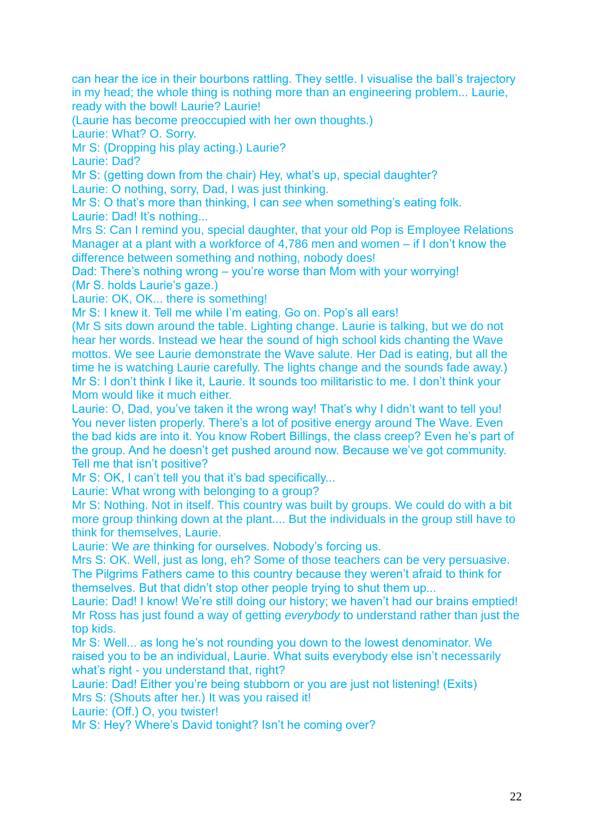can hear the ice in their bourbons rattling. They settle. I visualise the ball's trajectory in my head; the whole thing is nothing more than an engineering problem... Laurie, ready with the bowl! Laurie? Laurie!

(Laurie has become preoccupied with her own thoughts.)

Laurie: What? O. Sorry.

Mr S: (Dropping his play acting.) Laurie?

Laurie: Dad?

Mr S: (getting down from the chair) Hey, what's up, special daughter?

Laurie: O nothing, sorry, Dad, I was just thinking.

Mr S: O that's more than thinking, I can *see* when something's eating folk. Laurie: Dad! It's nothing...

Mrs S: Can I remind you, special daughter, that your old Pop is Employee Relations Manager at a plant with a workforce of 4,786 men and women – if I don't know the difference between something and nothing, nobody does!

Dad: There's nothing wrong – you're worse than Mom with your worrying! (Mr S. holds Laurie's gaze.)

Laurie: OK, OK... there is something!

Mr S: I knew it. Tell me while I'm eating. Go on. Pop's all ears!

(Mr S sits down around the table. Lighting change. Laurie is talking, but we do not hear her words. Instead we hear the sound of high school kids chanting the Wave mottos. We see Laurie demonstrate the Wave salute. Her Dad is eating, but all the time he is watching Laurie carefully. The lights change and the sounds fade away.) Mr S: I don't think I like it, Laurie. It sounds too militaristic to me. I don't think your Mom would like it much either.

Laurie: O, Dad, you've taken it the wrong way! That's why I didn't want to tell you! You never listen properly. There's a lot of positive energy around The Wave. Even the bad kids are into it. You know Robert Billings, the class creep? Even he's part of the group. And he doesn't get pushed around now. Because we've got community. Tell me that isn't positive?

Mr S: OK, I can't tell you that it's bad specifically...

Laurie: What wrong with belonging to a group?

Mr S: Nothing. Not in itself. This country was built by groups. We could do with a bit more group thinking down at the plant.... But the individuals in the group still have to think for themselves, Laurie.

Laurie: We *are* thinking for ourselves. Nobody's forcing us.

Mrs S: OK. Well, just as long, eh? Some of those teachers can be very persuasive. The Pilgrims Fathers came to this country because they weren't afraid to think for themselves. But that didn't stop other people trying to shut them up...

Laurie: Dad! I know! We're still doing our history; we haven't had our brains emptied! Mr Ross has just found a way of getting *everybody* to understand rather than just the top kids.

Mr S: Well... as long he's not rounding you down to the lowest denominator. We raised you to be an individual, Laurie. What suits everybody else isn't necessarily what's right - you understand that, right?

Laurie: Dad! Either you're being stubborn or you are just not listening! (Exits) Mrs S: (Shouts after her.) It was you raised it!

Laurie: (Off.) O, you twister!

Mr S: Hey? Where's David tonight? Isn't he coming over?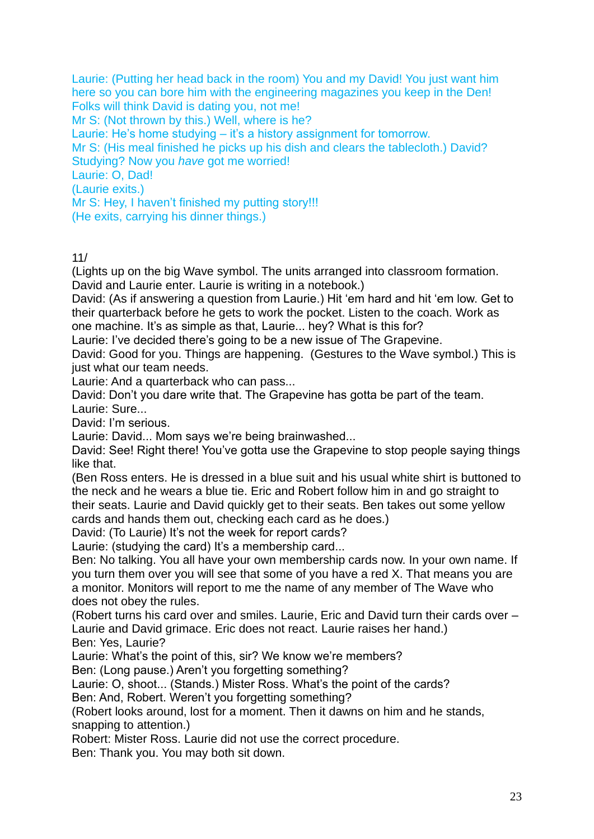Laurie: (Putting her head back in the room) You and my David! You just want him here so you can bore him with the engineering magazines you keep in the Den! Folks will think David is dating you, not me! Mr S: (Not thrown by this.) Well, where is he? Laurie: He's home studying – it's a history assignment for tomorrow. Mr S: (His meal finished he picks up his dish and clears the tablecloth.) David? Studying? Now you *have* got me worried! Laurie: O, Dad! (Laurie exits.) Mr S: Hey, I haven't finished my putting story!!! (He exits, carrying his dinner things.)

11/

(Lights up on the big Wave symbol. The units arranged into classroom formation. David and Laurie enter. Laurie is writing in a notebook.)

David: (As if answering a question from Laurie.) Hit 'em hard and hit 'em low. Get to their quarterback before he gets to work the pocket. Listen to the coach. Work as one machine. It's as simple as that, Laurie... hey? What is this for?

Laurie: I've decided there's going to be a new issue of The Grapevine.

David: Good for you. Things are happening. (Gestures to the Wave symbol.) This is just what our team needs.

Laurie: And a quarterback who can pass...

David: Don't you dare write that. The Grapevine has gotta be part of the team.

Laurie: Sure...

David: I'm serious.

Laurie: David... Mom says we're being brainwashed...

David: See! Right there! You've gotta use the Grapevine to stop people saying things like that.

(Ben Ross enters. He is dressed in a blue suit and his usual white shirt is buttoned to the neck and he wears a blue tie. Eric and Robert follow him in and go straight to their seats. Laurie and David quickly get to their seats. Ben takes out some yellow cards and hands them out, checking each card as he does.)

David: (To Laurie) It's not the week for report cards?

Laurie: (studying the card) It's a membership card...

Ben: No talking. You all have your own membership cards now. In your own name. If you turn them over you will see that some of you have a red X. That means you are a monitor. Monitors will report to me the name of any member of The Wave who does not obey the rules.

(Robert turns his card over and smiles. Laurie, Eric and David turn their cards over – Laurie and David grimace. Eric does not react. Laurie raises her hand.) Ben: Yes, Laurie?

Laurie: What's the point of this, sir? We know we're members?

Ben: (Long pause.) Aren't you forgetting something?

Laurie: O, shoot... (Stands.) Mister Ross. What's the point of the cards?

Ben: And, Robert. Weren't you forgetting something?

(Robert looks around, lost for a moment. Then it dawns on him and he stands, snapping to attention.)

Robert: Mister Ross. Laurie did not use the correct procedure.

Ben: Thank you. You may both sit down.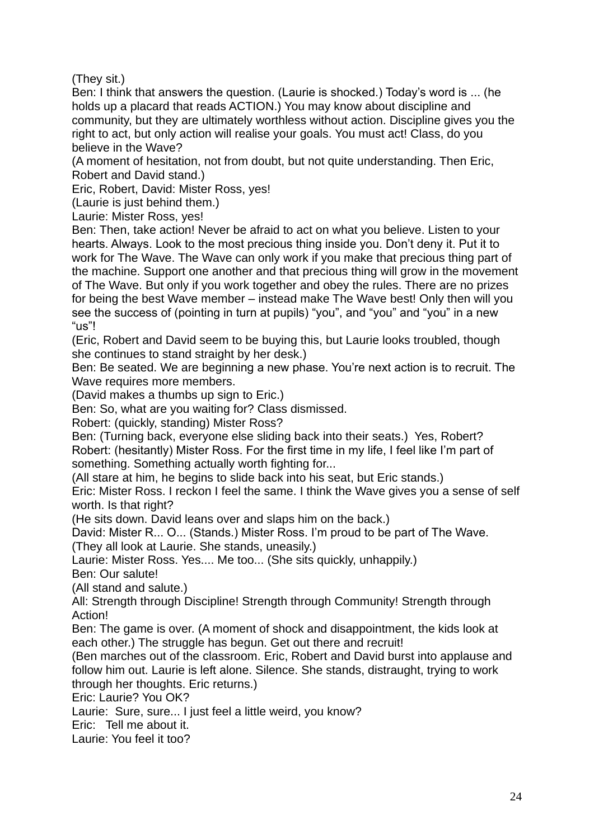(They sit.)

Ben: I think that answers the question. (Laurie is shocked.) Today's word is ... (he holds up a placard that reads ACTION.) You may know about discipline and community, but they are ultimately worthless without action. Discipline gives you the right to act, but only action will realise your goals. You must act! Class, do you believe in the Wave?

(A moment of hesitation, not from doubt, but not quite understanding. Then Eric, Robert and David stand.)

Eric, Robert, David: Mister Ross, yes!

(Laurie is just behind them.)

Laurie: Mister Ross, yes!

Ben: Then, take action! Never be afraid to act on what you believe. Listen to your hearts. Always. Look to the most precious thing inside you. Don't deny it. Put it to work for The Wave. The Wave can only work if you make that precious thing part of the machine. Support one another and that precious thing will grow in the movement of The Wave. But only if you work together and obey the rules. There are no prizes for being the best Wave member – instead make The Wave best! Only then will you see the success of (pointing in turn at pupils) "you", and "you" and "you" in a new "us"!

(Eric, Robert and David seem to be buying this, but Laurie looks troubled, though she continues to stand straight by her desk.)

Ben: Be seated. We are beginning a new phase. You're next action is to recruit. The Wave requires more members.

(David makes a thumbs up sign to Eric.)

Ben: So, what are you waiting for? Class dismissed.

Robert: (quickly, standing) Mister Ross?

Ben: (Turning back, everyone else sliding back into their seats.) Yes, Robert? Robert: (hesitantly) Mister Ross. For the first time in my life, I feel like I'm part of something. Something actually worth fighting for...

(All stare at him, he begins to slide back into his seat, but Eric stands.)

Eric: Mister Ross. I reckon I feel the same. I think the Wave gives you a sense of self worth. Is that right?

(He sits down. David leans over and slaps him on the back.)

David: Mister R... O... (Stands.) Mister Ross. I'm proud to be part of The Wave.

(They all look at Laurie. She stands, uneasily.)

Laurie: Mister Ross. Yes.... Me too... (She sits quickly, unhappily.)

Ben: Our salute!

(All stand and salute.)

All: Strength through Discipline! Strength through Community! Strength through Action!

Ben: The game is over. (A moment of shock and disappointment, the kids look at each other.) The struggle has begun. Get out there and recruit!

(Ben marches out of the classroom. Eric, Robert and David burst into applause and follow him out. Laurie is left alone. Silence. She stands, distraught, trying to work through her thoughts. Eric returns.)

Eric: Laurie? You OK?

Laurie: Sure, sure... I just feel a little weird, you know?

Eric: Tell me about it.

Laurie: You feel it too?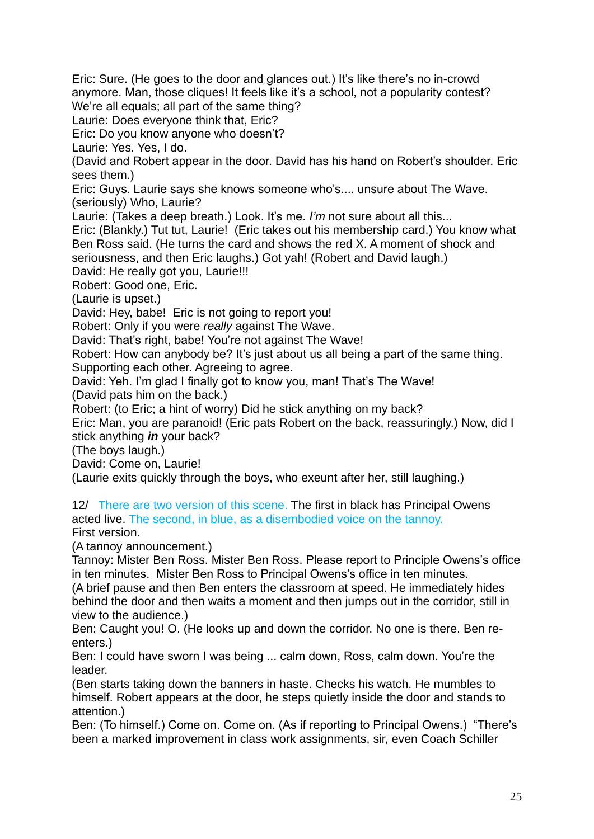Eric: Sure. (He goes to the door and glances out.) It's like there's no in-crowd anymore. Man, those cliques! It feels like it's a school, not a popularity contest? We're all equals; all part of the same thing?

Laurie: Does everyone think that, Eric?

Eric: Do you know anyone who doesn't?

Laurie: Yes. Yes, I do.

(David and Robert appear in the door. David has his hand on Robert's shoulder. Eric sees them.)

Eric: Guys. Laurie says she knows someone who's.... unsure about The Wave. (seriously) Who, Laurie?

Laurie: (Takes a deep breath.) Look. It's me. *I'm* not sure about all this...

Eric: (Blankly.) Tut tut, Laurie! (Eric takes out his membership card.) You know what Ben Ross said. (He turns the card and shows the red X. A moment of shock and seriousness, and then Eric laughs.) Got yah! (Robert and David laugh.)

David: He really got you, Laurie!!!

Robert: Good one, Eric.

(Laurie is upset.)

David: Hey, babe! Eric is not going to report you!

Robert: Only if you were *really* against The Wave.

David: That's right, babe! You're not against The Wave!

Robert: How can anybody be? It's just about us all being a part of the same thing. Supporting each other. Agreeing to agree.

David: Yeh. I'm glad I finally got to know you, man! That's The Wave!

(David pats him on the back.)

Robert: (to Eric; a hint of worry) Did he stick anything on my back?

Eric: Man, you are paranoid! (Eric pats Robert on the back, reassuringly.) Now, did I stick anything *in* your back?

(The boys laugh.)

David: Come on, Laurie!

(Laurie exits quickly through the boys, who exeunt after her, still laughing.)

12/ There are two version of this scene. The first in black has Principal Owens acted live. The second, in blue, as a disembodied voice on the tannoy. First version.

(A tannoy announcement.)

Tannoy: Mister Ben Ross. Mister Ben Ross. Please report to Principle Owens's office in ten minutes. Mister Ben Ross to Principal Owens's office in ten minutes.

(A brief pause and then Ben enters the classroom at speed. He immediately hides behind the door and then waits a moment and then jumps out in the corridor, still in view to the audience.)

Ben: Caught you! O. (He looks up and down the corridor. No one is there. Ben reenters.)

Ben: I could have sworn I was being ... calm down, Ross, calm down. You're the leader.

(Ben starts taking down the banners in haste. Checks his watch. He mumbles to himself. Robert appears at the door, he steps quietly inside the door and stands to attention.)

Ben: (To himself.) Come on. Come on. (As if reporting to Principal Owens.) "There's been a marked improvement in class work assignments, sir, even Coach Schiller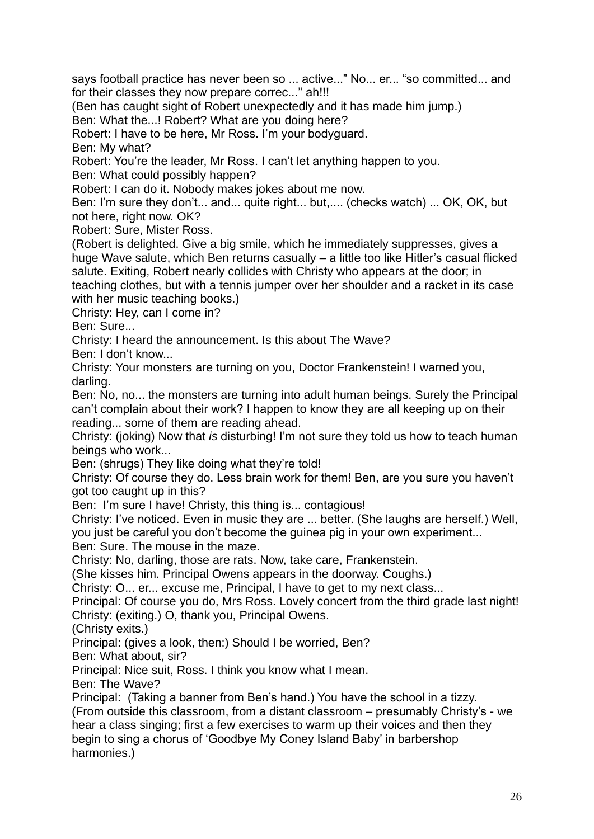says football practice has never been so ... active..." No... er... "so committed... and for their classes they now prepare correc..." ah!!!

(Ben has caught sight of Robert unexpectedly and it has made him jump.)

Ben: What the...! Robert? What are you doing here?

Robert: I have to be here, Mr Ross. I'm your bodyguard.

Ben: My what?

Robert: You're the leader, Mr Ross. I can't let anything happen to you.

Ben: What could possibly happen?

Robert: I can do it. Nobody makes jokes about me now.

Ben: I'm sure they don't... and... quite right... but,.... (checks watch) ... OK, OK, but not here, right now. OK?

Robert: Sure, Mister Ross.

(Robert is delighted. Give a big smile, which he immediately suppresses, gives a huge Wave salute, which Ben returns casually – a little too like Hitler's casual flicked salute. Exiting, Robert nearly collides with Christy who appears at the door; in teaching clothes, but with a tennis jumper over her shoulder and a racket in its case with her music teaching books.)

Christy: Hey, can I come in?

Ben: Sure...

Christy: I heard the announcement. Is this about The Wave?

Ben: I don't know...

Christy: Your monsters are turning on you, Doctor Frankenstein! I warned you, darling.

Ben: No, no... the monsters are turning into adult human beings. Surely the Principal can't complain about their work? I happen to know they are all keeping up on their reading... some of them are reading ahead.

Christy: (joking) Now that *is* disturbing! I'm not sure they told us how to teach human beings who work...

Ben: (shrugs) They like doing what they're told!

Christy: Of course they do. Less brain work for them! Ben, are you sure you haven't got too caught up in this?

Ben: I'm sure I have! Christy, this thing is... contagious!

Christy: I've noticed. Even in music they are ... better. (She laughs are herself.) Well, you just be careful you don't become the guinea pig in your own experiment...

Ben: Sure. The mouse in the maze.

Christy: No, darling, those are rats. Now, take care, Frankenstein.

(She kisses him. Principal Owens appears in the doorway. Coughs.)

Christy: O... er... excuse me, Principal, I have to get to my next class...

Principal: Of course you do, Mrs Ross. Lovely concert from the third grade last night! Christy: (exiting.) O, thank you, Principal Owens.

(Christy exits.)

Principal: (gives a look, then:) Should I be worried, Ben?

Ben: What about, sir?

Principal: Nice suit, Ross. I think you know what I mean.

Ben: The Wave?

Principal: (Taking a banner from Ben's hand.) You have the school in a tizzy. (From outside this classroom, from a distant classroom – presumably Christy's - we hear a class singing; first a few exercises to warm up their voices and then they begin to sing a chorus of 'Goodbye My Coney Island Baby' in barbershop harmonies.)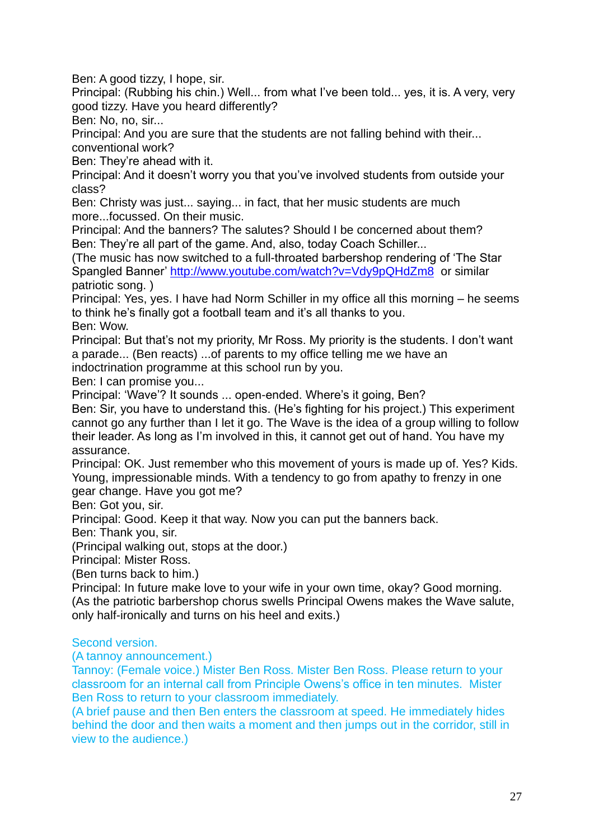Ben: A good tizzy, I hope, sir.

Principal: (Rubbing his chin.) Well... from what I've been told... yes, it is. A very, very good tizzy. Have you heard differently?

Ben: No, no, sir...

Principal: And you are sure that the students are not falling behind with their... conventional work?

Ben: They're ahead with it.

Principal: And it doesn't worry you that you've involved students from outside your class?

Ben: Christy was just... saying... in fact, that her music students are much more...focussed. On their music.

Principal: And the banners? The salutes? Should I be concerned about them? Ben: They're all part of the game. And, also, today Coach Schiller...

(The music has now switched to a full-throated barbershop rendering of 'The Star Spangled Banner'<http://www.youtube.com/watch?v=Vdy9pQHdZm8>or similar patriotic song. )

Principal: Yes, yes. I have had Norm Schiller in my office all this morning – he seems to think he's finally got a football team and it's all thanks to you. Ben: Wow.

Principal: But that's not my priority, Mr Ross. My priority is the students. I don't want a parade... (Ben reacts) ...of parents to my office telling me we have an indoctrination programme at this school run by you.

Ben: I can promise you...

Principal: 'Wave'? It sounds ... open-ended. Where's it going, Ben?

Ben: Sir, you have to understand this. (He's fighting for his project.) This experiment cannot go any further than I let it go. The Wave is the idea of a group willing to follow their leader. As long as I'm involved in this, it cannot get out of hand. You have my assurance.

Principal: OK. Just remember who this movement of yours is made up of. Yes? Kids. Young, impressionable minds. With a tendency to go from apathy to frenzy in one gear change. Have you got me?

Ben: Got you, sir.

Principal: Good. Keep it that way. Now you can put the banners back.

Ben: Thank you, sir.

(Principal walking out, stops at the door.)

Principal: Mister Ross.

(Ben turns back to him.)

Principal: In future make love to your wife in your own time, okay? Good morning. (As the patriotic barbershop chorus swells Principal Owens makes the Wave salute, only half-ironically and turns on his heel and exits.)

### Second version.

(A tannoy announcement.)

Tannoy: (Female voice.) Mister Ben Ross. Mister Ben Ross. Please return to your classroom for an internal call from Principle Owens's office in ten minutes. Mister Ben Ross to return to your classroom immediately.

(A brief pause and then Ben enters the classroom at speed. He immediately hides behind the door and then waits a moment and then jumps out in the corridor, still in view to the audience.)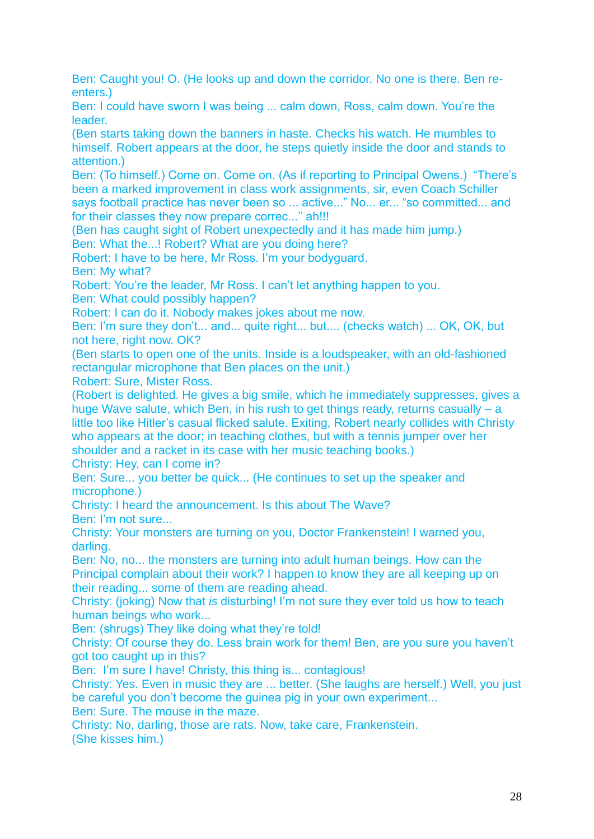Ben: Caught you! O. (He looks up and down the corridor. No one is there. Ben reenters.)

Ben: I could have sworn I was being ... calm down, Ross, calm down. You're the leader.

(Ben starts taking down the banners in haste. Checks his watch. He mumbles to himself. Robert appears at the door, he steps quietly inside the door and stands to attention.)

Ben: (To himself.) Come on. Come on. (As if reporting to Principal Owens.) "There's been a marked improvement in class work assignments, sir, even Coach Schiller says football practice has never been so ... active..." No... er... "so committed... and for their classes they now prepare correc..." ah!!!

(Ben has caught sight of Robert unexpectedly and it has made him jump.)

Ben: What the...! Robert? What are you doing here?

Robert: I have to be here, Mr Ross. I'm your bodyguard.

Ben: My what?

Robert: You're the leader, Mr Ross. I can't let anything happen to you.

Ben: What could possibly happen?

Robert: I can do it. Nobody makes jokes about me now.

Ben: I'm sure they don't... and... quite right... but.... (checks watch) ... OK, OK, but not here, right now. OK?

(Ben starts to open one of the units. Inside is a loudspeaker, with an old-fashioned rectangular microphone that Ben places on the unit.)

Robert: Sure, Mister Ross.

(Robert is delighted. He gives a big smile, which he immediately suppresses, gives a huge Wave salute, which Ben, in his rush to get things ready, returns casually – a little too like Hitler's casual flicked salute. Exiting, Robert nearly collides with Christy who appears at the door; in teaching clothes, but with a tennis jumper over her shoulder and a racket in its case with her music teaching books.) Christy: Hey, can I come in?

Ben: Sure... you better be quick... (He continues to set up the speaker and microphone.)

Christy: I heard the announcement. Is this about The Wave?

Ben: I'm not sure...

Christy: Your monsters are turning on you, Doctor Frankenstein! I warned you, darling.

Ben: No, no... the monsters are turning into adult human beings. How can the Principal complain about their work? I happen to know they are all keeping up on their reading... some of them are reading ahead.

Christy: (joking) Now that *is* disturbing! I'm not sure they ever told us how to teach human beings who work...

Ben: (shrugs) They like doing what they're told!

Christy: Of course they do. Less brain work for them! Ben, are you sure you haven't got too caught up in this?

Ben: I'm sure I have! Christy, this thing is... contagious!

Christy: Yes. Even in music they are ... better. (She laughs are herself.) Well, you just be careful you don't become the guinea pig in your own experiment...

Ben: Sure. The mouse in the maze.

Christy: No, darling, those are rats. Now, take care, Frankenstein.

(She kisses him.)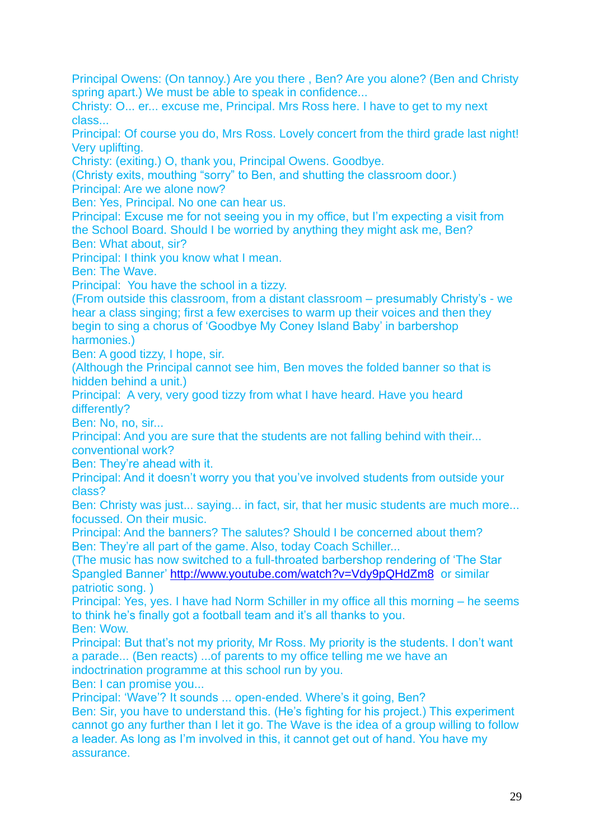Principal Owens: (On tannoy.) Are you there , Ben? Are you alone? (Ben and Christy spring apart.) We must be able to speak in confidence...

Christy: O... er... excuse me, Principal. Mrs Ross here. I have to get to my next class...

Principal: Of course you do, Mrs Ross. Lovely concert from the third grade last night! Very uplifting.

Christy: (exiting.) O, thank you, Principal Owens. Goodbye.

(Christy exits, mouthing "sorry" to Ben, and shutting the classroom door.) Principal: Are we alone now?

Ben: Yes, Principal. No one can hear us.

Principal: Excuse me for not seeing you in my office, but I'm expecting a visit from the School Board. Should I be worried by anything they might ask me, Ben? Ben: What about, sir?

Principal: I think you know what I mean.

Ben: The Wave.

Principal: You have the school in a tizzy.

(From outside this classroom, from a distant classroom – presumably Christy's - we hear a class singing; first a few exercises to warm up their voices and then they begin to sing a chorus of 'Goodbye My Coney Island Baby' in barbershop harmonies.)

Ben: A good tizzy, I hope, sir.

(Although the Principal cannot see him, Ben moves the folded banner so that is hidden behind a unit.)

Principal: A very, very good tizzy from what I have heard. Have you heard differently?

Ben: No, no, sir...

Principal: And you are sure that the students are not falling behind with their... conventional work?

Ben: They're ahead with it.

Principal: And it doesn't worry you that you've involved students from outside your class?

Ben: Christy was just... saying... in fact, sir, that her music students are much more... focussed. On their music.

Principal: And the banners? The salutes? Should I be concerned about them? Ben: They're all part of the game. Also, today Coach Schiller...

(The music has now switched to a full-throated barbershop rendering of 'The Star Spangled Banner'<http://www.youtube.com/watch?v=Vdy9pQHdZm8>or similar patriotic song. )

Principal: Yes, yes. I have had Norm Schiller in my office all this morning – he seems to think he's finally got a football team and it's all thanks to you. Ben: Wow.

Principal: But that's not my priority, Mr Ross. My priority is the students. I don't want a parade... (Ben reacts) ...of parents to my office telling me we have an indoctrination programme at this school run by you.

Ben: I can promise you...

Principal: 'Wave'? It sounds ... open-ended. Where's it going, Ben?

Ben: Sir, you have to understand this. (He's fighting for his project.) This experiment cannot go any further than I let it go. The Wave is the idea of a group willing to follow a leader. As long as I'm involved in this, it cannot get out of hand. You have my assurance.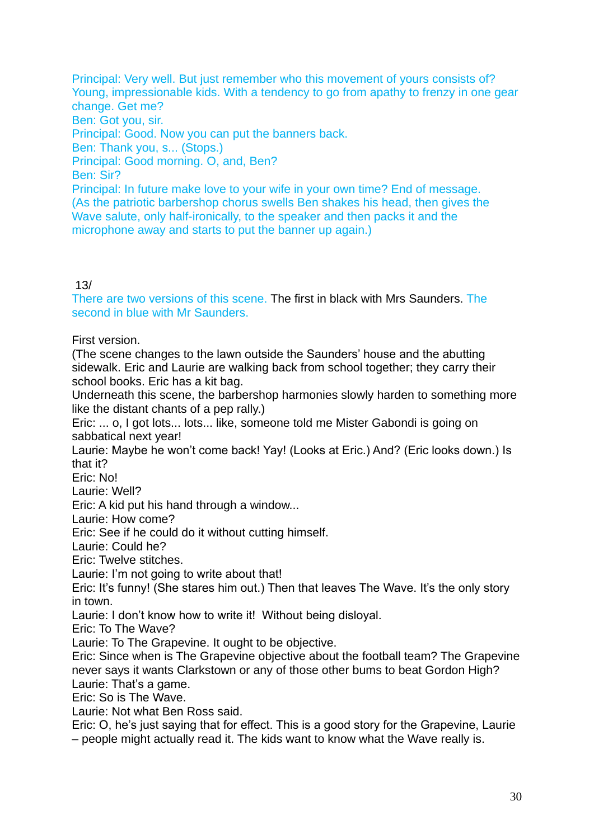Principal: Very well. But just remember who this movement of yours consists of? Young, impressionable kids. With a tendency to go from apathy to frenzy in one gear change. Get me? Ben: Got you, sir. Principal: Good. Now you can put the banners back. Ben: Thank you, s... (Stops.) Principal: Good morning. O, and, Ben? Ben: Sir? Principal: In future make love to your wife in your own time? End of message. (As the patriotic barbershop chorus swells Ben shakes his head, then gives the Wave salute, only half-ironically, to the speaker and then packs it and the microphone away and starts to put the banner up again.)

## 13/

There are two versions of this scene. The first in black with Mrs Saunders. The second in blue with Mr Saunders.

First version.

(The scene changes to the lawn outside the Saunders' house and the abutting sidewalk. Eric and Laurie are walking back from school together; they carry their school books. Eric has a kit bag.

Underneath this scene, the barbershop harmonies slowly harden to something more like the distant chants of a pep rally.)

Eric: ... o, I got lots... lots... like, someone told me Mister Gabondi is going on sabbatical next year!

Laurie: Maybe he won't come back! Yay! (Looks at Eric.) And? (Eric looks down.) Is that it?

Eric: No!

Laurie: Well?

Eric: A kid put his hand through a window...

Laurie: How come?

Eric: See if he could do it without cutting himself.

Laurie: Could he?

Eric: Twelve stitches.

Laurie: I'm not going to write about that!

Eric: It's funny! (She stares him out.) Then that leaves The Wave. It's the only story in town.

Laurie: I don't know how to write it! Without being disloyal.

Eric: To The Wave?

Laurie: To The Grapevine. It ought to be objective.

Eric: Since when is The Grapevine objective about the football team? The Grapevine never says it wants Clarkstown or any of those other bums to beat Gordon High? Laurie: That's a game.

Eric: So is The Wave.

Laurie: Not what Ben Ross said.

Eric: O, he's just saying that for effect. This is a good story for the Grapevine, Laurie – people might actually read it. The kids want to know what the Wave really is.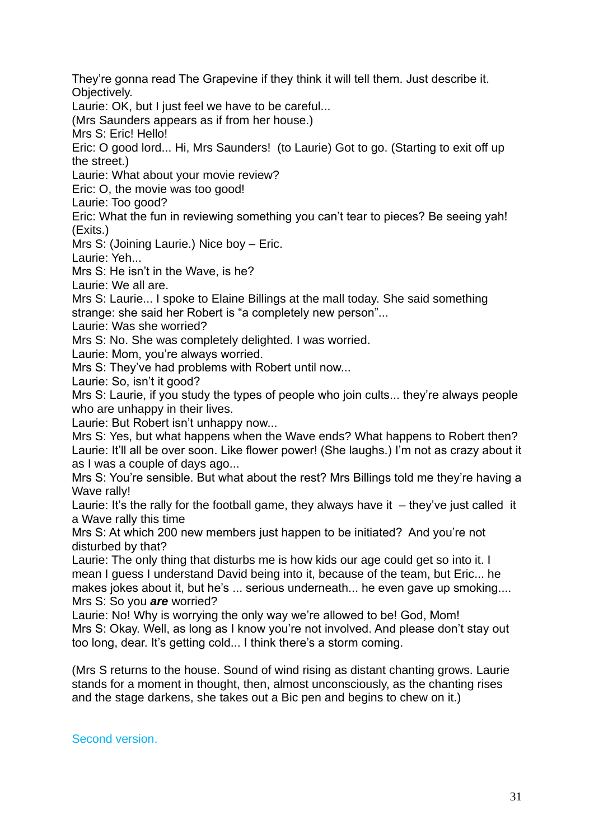They're gonna read The Grapevine if they think it will tell them. Just describe it. Objectively.

Laurie: OK, but I just feel we have to be careful...

(Mrs Saunders appears as if from her house.)

Mrs S: Eric! Hello!

Eric: O good lord... Hi, Mrs Saunders! (to Laurie) Got to go. (Starting to exit off up the street.)

Laurie: What about your movie review?

Eric: O, the movie was too good!

Laurie: Too good?

Eric: What the fun in reviewing something you can't tear to pieces? Be seeing yah! (Exits.)

Mrs S: (Joining Laurie.) Nice boy – Eric.

Laurie: Yeh...

Mrs S: He isn't in the Wave, is he?

Laurie: We all are.

Mrs S: Laurie... I spoke to Elaine Billings at the mall today. She said something strange: she said her Robert is "a completely new person"...

Laurie: Was she worried?

Mrs S: No. She was completely delighted. I was worried.

Laurie: Mom, you're always worried.

Mrs S: They've had problems with Robert until now...

Laurie: So, isn't it good?

Mrs S: Laurie, if you study the types of people who join cults... they're always people who are unhappy in their lives.

Laurie: But Robert isn't unhappy now...

Mrs S: Yes, but what happens when the Wave ends? What happens to Robert then? Laurie: It'll all be over soon. Like flower power! (She laughs.) I'm not as crazy about it as I was a couple of days ago...

Mrs S: You're sensible. But what about the rest? Mrs Billings told me they're having a Wave rally!

Laurie: It's the rally for the football game, they always have it  $-$  they've just called it a Wave rally this time

Mrs S: At which 200 new members just happen to be initiated? And you're not disturbed by that?

Laurie: The only thing that disturbs me is how kids our age could get so into it. I mean I guess I understand David being into it, because of the team, but Eric... he makes jokes about it, but he's ... serious underneath... he even gave up smoking.... Mrs S: So you *are* worried?

Laurie: No! Why is worrying the only way we're allowed to be! God, Mom! Mrs S: Okay. Well, as long as I know you're not involved. And please don't stay out too long, dear. It's getting cold... I think there's a storm coming.

(Mrs S returns to the house. Sound of wind rising as distant chanting grows. Laurie stands for a moment in thought, then, almost unconsciously, as the chanting rises and the stage darkens, she takes out a Bic pen and begins to chew on it.)

Second version.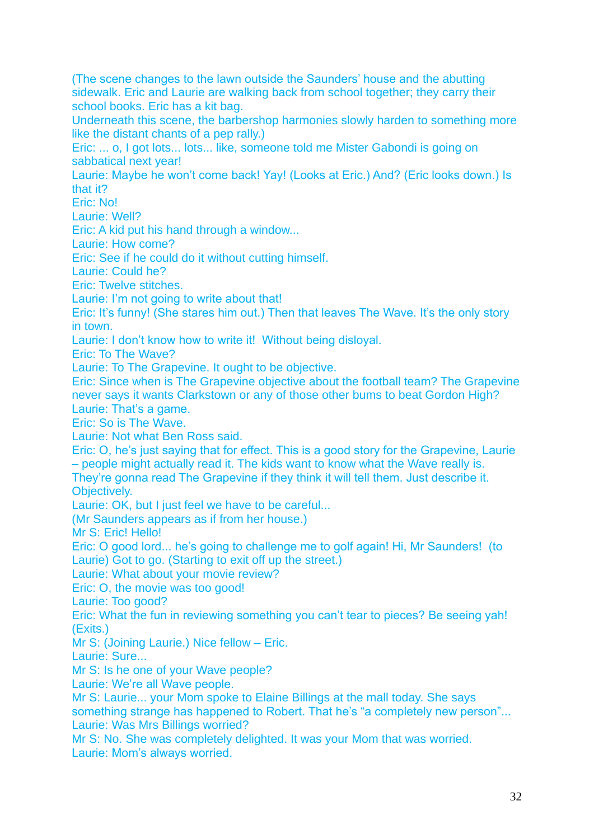(The scene changes to the lawn outside the Saunders' house and the abutting sidewalk. Eric and Laurie are walking back from school together; they carry their school books. Eric has a kit bag.

Underneath this scene, the barbershop harmonies slowly harden to something more like the distant chants of a pep rally.)

Eric: ... o, I got lots... lots... like, someone told me Mister Gabondi is going on sabbatical next year!

Laurie: Maybe he won't come back! Yay! (Looks at Eric.) And? (Eric looks down.) Is that it?

Eric: No!

Laurie: Well?

Eric: A kid put his hand through a window...

Laurie: How come?

Eric: See if he could do it without cutting himself.

Laurie: Could he?

Eric: Twelve stitches.

Laurie: I'm not going to write about that!

Eric: It's funny! (She stares him out.) Then that leaves The Wave. It's the only story in town.

Laurie: I don't know how to write it! Without being disloyal.

Eric: To The Wave?

Laurie: To The Grapevine. It ought to be objective.

Eric: Since when is The Grapevine objective about the football team? The Grapevine never says it wants Clarkstown or any of those other bums to beat Gordon High? Laurie: That's a game.

Eric: So is The Wave.

Laurie: Not what Ben Ross said.

Eric: O, he's just saying that for effect. This is a good story for the Grapevine, Laurie – people might actually read it. The kids want to know what the Wave really is. They're gonna read The Grapevine if they think it will tell them. Just describe it.

Objectively.

Laurie: OK, but I just feel we have to be careful...

(Mr Saunders appears as if from her house.)

Mr S: Eric! Hello!

Eric: O good lord... he's going to challenge me to golf again! Hi, Mr Saunders! (to Laurie) Got to go. (Starting to exit off up the street.)

Laurie: What about your movie review?

Eric: O, the movie was too good!

Laurie: Too good?

Eric: What the fun in reviewing something you can't tear to pieces? Be seeing yah! (Exits.)

Mr S: (Joining Laurie.) Nice fellow – Eric.

Laurie: Sure...

Mr S: Is he one of your Wave people?

Laurie: We're all Wave people.

Mr S: Laurie... your Mom spoke to Elaine Billings at the mall today. She says

something strange has happened to Robert. That he's "a completely new person"... Laurie: Was Mrs Billings worried?

Mr S: No. She was completely delighted. It was your Mom that was worried. Laurie: Mom's always worried.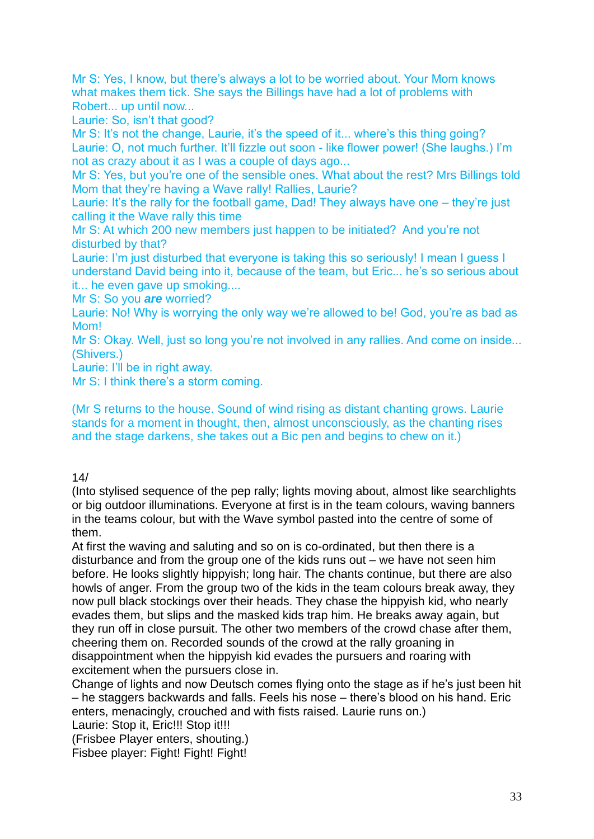Mr S: Yes, I know, but there's always a lot to be worried about. Your Mom knows what makes them tick. She says the Billings have had a lot of problems with Robert... up until now...

Laurie: So, isn't that good?

Mr S: It's not the change, Laurie, it's the speed of it... where's this thing going? Laurie: O, not much further. It'll fizzle out soon - like flower power! (She laughs.) I'm not as crazy about it as I was a couple of days ago...

Mr S: Yes, but you're one of the sensible ones. What about the rest? Mrs Billings told Mom that they're having a Wave rally! Rallies, Laurie?

Laurie: It's the rally for the football game, Dad! They always have one – they're just calling it the Wave rally this time

Mr S: At which 200 new members just happen to be initiated? And you're not disturbed by that?

Laurie: I'm just disturbed that everyone is taking this so seriously! I mean I quess I understand David being into it, because of the team, but Eric... he's so serious about it... he even gave up smoking....

Mr S: So you *are* worried?

Laurie: No! Why is worrying the only way we're allowed to be! God, you're as bad as Mom!

Mr S: Okay. Well, just so long you're not involved in any rallies. And come on inside... (Shivers.)

Laurie: I'll be in right away.

Mr S: I think there's a storm coming.

(Mr S returns to the house. Sound of wind rising as distant chanting grows. Laurie stands for a moment in thought, then, almost unconsciously, as the chanting rises and the stage darkens, she takes out a Bic pen and begins to chew on it.)

### 14/

(Into stylised sequence of the pep rally; lights moving about, almost like searchlights or big outdoor illuminations. Everyone at first is in the team colours, waving banners in the teams colour, but with the Wave symbol pasted into the centre of some of them.

At first the waving and saluting and so on is co-ordinated, but then there is a disturbance and from the group one of the kids runs out – we have not seen him before. He looks slightly hippyish; long hair. The chants continue, but there are also howls of anger. From the group two of the kids in the team colours break away, they now pull black stockings over their heads. They chase the hippyish kid, who nearly evades them, but slips and the masked kids trap him. He breaks away again, but they run off in close pursuit. The other two members of the crowd chase after them, cheering them on. Recorded sounds of the crowd at the rally groaning in disappointment when the hippyish kid evades the pursuers and roaring with excitement when the pursuers close in.

Change of lights and now Deutsch comes flying onto the stage as if he's just been hit – he staggers backwards and falls. Feels his nose – there's blood on his hand. Eric enters, menacingly, crouched and with fists raised. Laurie runs on.)

Laurie: Stop it, Eric!!! Stop it!!!

(Frisbee Player enters, shouting.)

Fisbee player: Fight! Fight! Fight!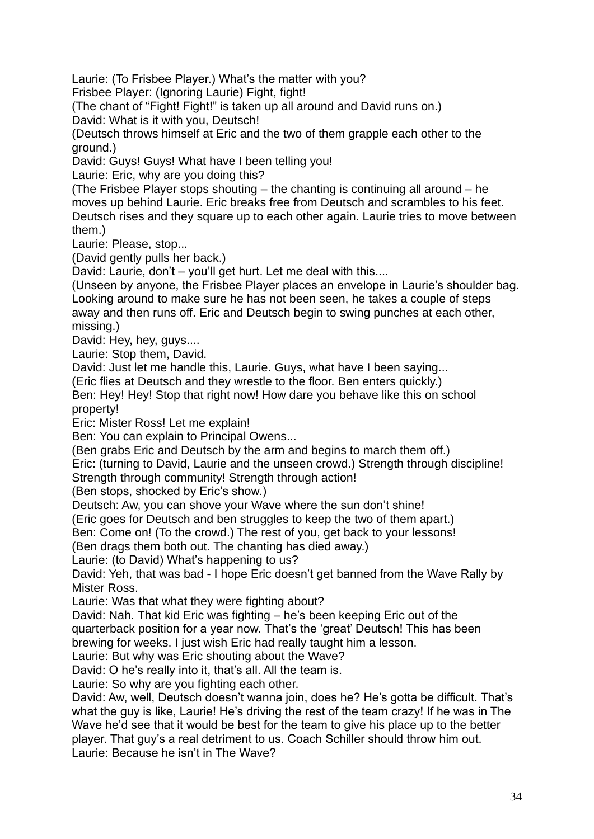Laurie: (To Frisbee Player.) What's the matter with you?

Frisbee Player: (Ignoring Laurie) Fight, fight!

(The chant of "Fight! Fight!" is taken up all around and David runs on.) David: What is it with you, Deutsch!

(Deutsch throws himself at Eric and the two of them grapple each other to the ground.)

David: Guys! Guys! What have I been telling you!

Laurie: Eric, why are you doing this?

(The Frisbee Player stops shouting – the chanting is continuing all around – he moves up behind Laurie. Eric breaks free from Deutsch and scrambles to his feet. Deutsch rises and they square up to each other again. Laurie tries to move between them.)

Laurie: Please, stop...

(David gently pulls her back.)

David: Laurie, don't – you'll get hurt. Let me deal with this....

(Unseen by anyone, the Frisbee Player places an envelope in Laurie's shoulder bag. Looking around to make sure he has not been seen, he takes a couple of steps away and then runs off. Eric and Deutsch begin to swing punches at each other, missing.)

David: Hey, hey, guys....

Laurie: Stop them, David.

David: Just let me handle this, Laurie. Guys, what have I been saying...

(Eric flies at Deutsch and they wrestle to the floor. Ben enters quickly.)

Ben: Hey! Hey! Stop that right now! How dare you behave like this on school property!

Eric: Mister Ross! Let me explain!

Ben: You can explain to Principal Owens...

(Ben grabs Eric and Deutsch by the arm and begins to march them off.)

Eric: (turning to David, Laurie and the unseen crowd.) Strength through discipline! Strength through community! Strength through action!

(Ben stops, shocked by Eric's show.)

Deutsch: Aw, you can shove your Wave where the sun don't shine!

(Eric goes for Deutsch and ben struggles to keep the two of them apart.)

Ben: Come on! (To the crowd.) The rest of you, get back to your lessons!

(Ben drags them both out. The chanting has died away.)

Laurie: (to David) What's happening to us?

David: Yeh, that was bad - I hope Eric doesn't get banned from the Wave Rally by Mister Ross.

Laurie: Was that what they were fighting about?

David: Nah. That kid Eric was fighting – he's been keeping Eric out of the quarterback position for a year now. That's the 'great' Deutsch! This has been brewing for weeks. I just wish Eric had really taught him a lesson.

Laurie: But why was Eric shouting about the Wave?

David: O he's really into it, that's all. All the team is.

Laurie: So why are you fighting each other.

David: Aw, well, Deutsch doesn't wanna join, does he? He's gotta be difficult. That's what the guy is like, Laurie! He's driving the rest of the team crazy! If he was in The Wave he'd see that it would be best for the team to give his place up to the better player. That guy's a real detriment to us. Coach Schiller should throw him out. Laurie: Because he isn't in The Wave?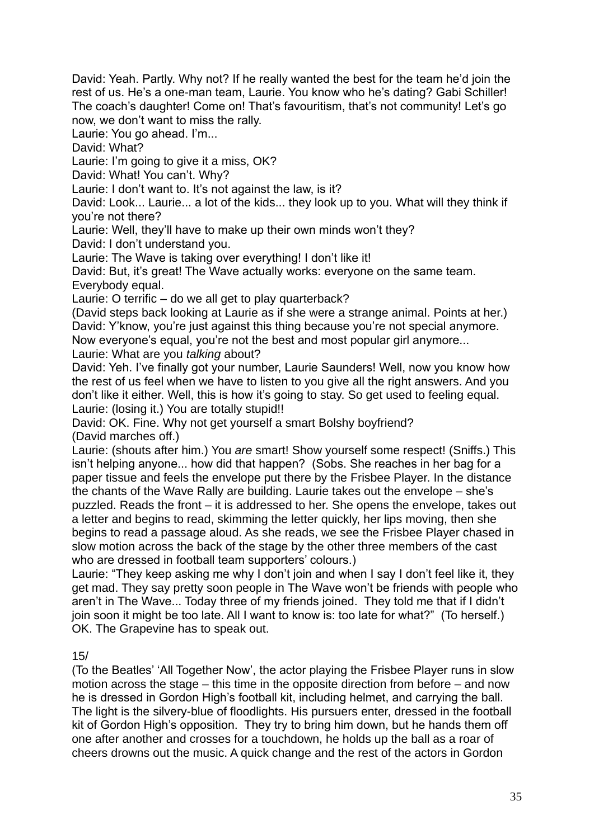David: Yeah. Partly. Why not? If he really wanted the best for the team he'd join the rest of us. He's a one-man team, Laurie. You know who he's dating? Gabi Schiller! The coach's daughter! Come on! That's favouritism, that's not community! Let's go now, we don't want to miss the rally.

Laurie: You go ahead. I'm...

David: What?

Laurie: I'm going to give it a miss, OK?

David: What! You can't. Why?

Laurie: I don't want to. It's not against the law, is it?

David: Look... Laurie... a lot of the kids... they look up to you. What will they think if you're not there?

Laurie: Well, they'll have to make up their own minds won't they?

David: I don't understand you.

Laurie: The Wave is taking over everything! I don't like it!

David: But, it's great! The Wave actually works: everyone on the same team. Everybody equal.

Laurie: O terrific – do we all get to play quarterback?

(David steps back looking at Laurie as if she were a strange animal. Points at her.) David: Y'know, you're just against this thing because you're not special anymore. Now everyone's equal, you're not the best and most popular girl anymore...

Laurie: What are you *talking* about?

David: Yeh. I've finally got your number, Laurie Saunders! Well, now you know how the rest of us feel when we have to listen to you give all the right answers. And you don't like it either. Well, this is how it's going to stay. So get used to feeling equal. Laurie: (losing it.) You are totally stupid!!

David: OK. Fine. Why not get yourself a smart Bolshy boyfriend? (David marches off.)

Laurie: (shouts after him.) You *are* smart! Show yourself some respect! (Sniffs.) This isn't helping anyone... how did that happen? (Sobs. She reaches in her bag for a paper tissue and feels the envelope put there by the Frisbee Player. In the distance the chants of the Wave Rally are building. Laurie takes out the envelope – she's puzzled. Reads the front – it is addressed to her. She opens the envelope, takes out a letter and begins to read, skimming the letter quickly, her lips moving, then she begins to read a passage aloud. As she reads, we see the Frisbee Player chased in slow motion across the back of the stage by the other three members of the cast who are dressed in football team supporters' colours.)

Laurie: "They keep asking me why I don't join and when I say I don't feel like it, they get mad. They say pretty soon people in The Wave won't be friends with people who aren't in The Wave... Today three of my friends joined. They told me that if I didn't join soon it might be too late. All I want to know is: too late for what?" (To herself.) OK. The Grapevine has to speak out.

15/

(To the Beatles' 'All Together Now', the actor playing the Frisbee Player runs in slow motion across the stage – this time in the opposite direction from before – and now he is dressed in Gordon High's football kit, including helmet, and carrying the ball. The light is the silvery-blue of floodlights. His pursuers enter, dressed in the football kit of Gordon High's opposition. They try to bring him down, but he hands them off one after another and crosses for a touchdown, he holds up the ball as a roar of cheers drowns out the music. A quick change and the rest of the actors in Gordon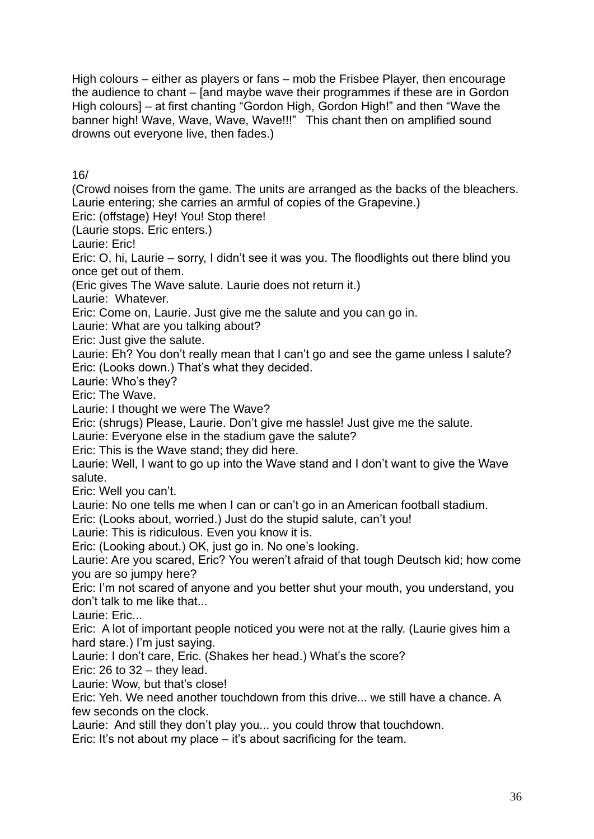High colours – either as players or fans – mob the Frisbee Player, then encourage the audience to chant – [and maybe wave their programmes if these are in Gordon High colours] – at first chanting "Gordon High, Gordon High!" and then "Wave the banner high! Wave, Wave, Wave, Wave!!!" This chant then on amplified sound drowns out everyone live, then fades.)

16/

(Crowd noises from the game. The units are arranged as the backs of the bleachers. Laurie entering; she carries an armful of copies of the Grapevine.)

Eric: (offstage) Hey! You! Stop there!

(Laurie stops. Eric enters.)

Laurie: Eric!

Eric: O, hi, Laurie – sorry, I didn't see it was you. The floodlights out there blind you once get out of them.

(Eric gives The Wave salute. Laurie does not return it.)

Laurie: Whatever.

Eric: Come on, Laurie. Just give me the salute and you can go in.

Laurie: What are you talking about?

Eric: Just give the salute.

Laurie: Eh? You don't really mean that I can't go and see the game unless I salute? Eric: (Looks down.) That's what they decided.

Laurie: Who's they?

Eric: The Wave.

Laurie: I thought we were The Wave?

Eric: (shrugs) Please, Laurie. Don't give me hassle! Just give me the salute.

Laurie: Everyone else in the stadium gave the salute?

Eric: This is the Wave stand; they did here.

Laurie: Well, I want to go up into the Wave stand and I don't want to give the Wave salute.

Eric: Well you can't.

Laurie: No one tells me when I can or can't go in an American football stadium.

Eric: (Looks about, worried.) Just do the stupid salute, can't you!

Laurie: This is ridiculous. Even you know it is.

Eric: (Looking about.) OK, just go in. No one's looking.

Laurie: Are you scared, Eric? You weren't afraid of that tough Deutsch kid; how come you are so jumpy here?

Eric: I'm not scared of anyone and you better shut your mouth, you understand, you don't talk to me like that...

Laurie: Eric...

Eric: A lot of important people noticed you were not at the rally. (Laurie gives him a hard stare.) I'm just saying.

Laurie: I don't care, Eric. (Shakes her head.) What's the score?

Eric: 26 to 32 – they lead.

Laurie: Wow, but that's close!

Eric: Yeh. We need another touchdown from this drive... we still have a chance. A few seconds on the clock.

Laurie: And still they don't play you... you could throw that touchdown.

Eric: It's not about my place – it's about sacrificing for the team.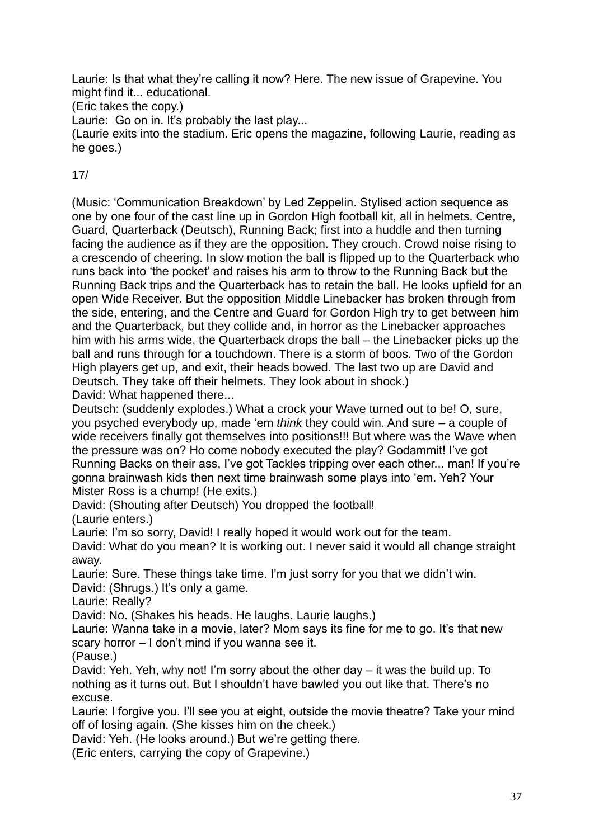Laurie: Is that what they're calling it now? Here. The new issue of Grapevine. You might find it... educational.

(Eric takes the copy.)

Laurie: Go on in. It's probably the last play...

(Laurie exits into the stadium. Eric opens the magazine, following Laurie, reading as he goes.)

# 17/

(Music: 'Communication Breakdown' by Led Zeppelin. Stylised action sequence as one by one four of the cast line up in Gordon High football kit, all in helmets. Centre, Guard, Quarterback (Deutsch), Running Back; first into a huddle and then turning facing the audience as if they are the opposition. They crouch. Crowd noise rising to a crescendo of cheering. In slow motion the ball is flipped up to the Quarterback who runs back into 'the pocket' and raises his arm to throw to the Running Back but the Running Back trips and the Quarterback has to retain the ball. He looks upfield for an open Wide Receiver. But the opposition Middle Linebacker has broken through from the side, entering, and the Centre and Guard for Gordon High try to get between him and the Quarterback, but they collide and, in horror as the Linebacker approaches him with his arms wide, the Quarterback drops the ball – the Linebacker picks up the ball and runs through for a touchdown. There is a storm of boos. Two of the Gordon High players get up, and exit, their heads bowed. The last two up are David and Deutsch. They take off their helmets. They look about in shock.) David: What happened there...

Deutsch: (suddenly explodes.) What a crock your Wave turned out to be! O, sure, you psyched everybody up, made 'em *think* they could win. And sure – a couple of wide receivers finally got themselves into positions!!! But where was the Wave when the pressure was on? Ho come nobody executed the play? Godammit! I've got Running Backs on their ass, I've got Tackles tripping over each other... man! If you're gonna brainwash kids then next time brainwash some plays into 'em. Yeh? Your Mister Ross is a chump! (He exits.)

David: (Shouting after Deutsch) You dropped the football!

(Laurie enters.)

Laurie: I'm so sorry, David! I really hoped it would work out for the team.

David: What do you mean? It is working out. I never said it would all change straight away.

Laurie: Sure. These things take time. I'm just sorry for you that we didn't win. David: (Shrugs.) It's only a game.

Laurie: Really?

David: No. (Shakes his heads. He laughs. Laurie laughs.)

Laurie: Wanna take in a movie, later? Mom says its fine for me to go. It's that new scary horror – I don't mind if you wanna see it.

(Pause.)

David: Yeh. Yeh, why not! I'm sorry about the other day – it was the build up. To nothing as it turns out. But I shouldn't have bawled you out like that. There's no excuse.

Laurie: I forgive you. I'll see you at eight, outside the movie theatre? Take your mind off of losing again. (She kisses him on the cheek.)

David: Yeh. (He looks around.) But we're getting there.

(Eric enters, carrying the copy of Grapevine.)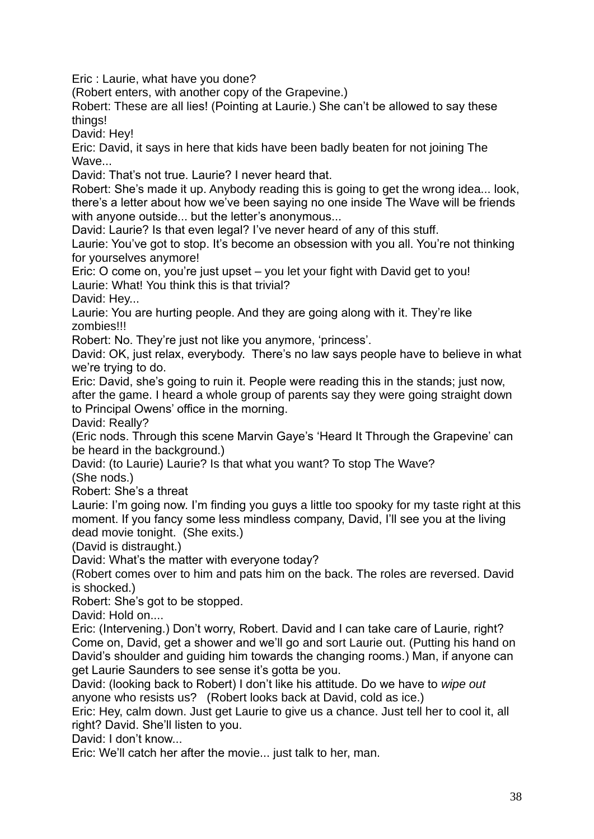Eric : Laurie, what have you done?

(Robert enters, with another copy of the Grapevine.)

Robert: These are all lies! (Pointing at Laurie.) She can't be allowed to say these things!

David: Hey!

Eric: David, it says in here that kids have been badly beaten for not joining The Wave...

David: That's not true. Laurie? I never heard that.

Robert: She's made it up. Anybody reading this is going to get the wrong idea... look, there's a letter about how we've been saying no one inside The Wave will be friends with anyone outside... but the letter's anonymous...

David: Laurie? Is that even legal? I've never heard of any of this stuff.

Laurie: You've got to stop. It's become an obsession with you all. You're not thinking for yourselves anymore!

Eric: O come on, you're just upset – you let your fight with David get to you! Laurie: What! You think this is that trivial?

David: Hey...

Laurie: You are hurting people. And they are going along with it. They're like zombies!!!

Robert: No. They're just not like you anymore, 'princess'.

David: OK, just relax, everybody. There's no law says people have to believe in what we're trying to do.

Eric: David, she's going to ruin it. People were reading this in the stands; just now, after the game. I heard a whole group of parents say they were going straight down to Principal Owens' office in the morning.

David: Really?

(Eric nods. Through this scene Marvin Gaye's 'Heard It Through the Grapevine' can be heard in the background.)

David: (to Laurie) Laurie? Is that what you want? To stop The Wave?

(She nods.)

Robert: She's a threat

Laurie: I'm going now. I'm finding you guys a little too spooky for my taste right at this moment. If you fancy some less mindless company, David, I'll see you at the living dead movie tonight. (She exits.)

(David is distraught.)

David: What's the matter with everyone today?

(Robert comes over to him and pats him on the back. The roles are reversed. David is shocked.)

Robert: She's got to be stopped.

David: Hold on....

Eric: (Intervening.) Don't worry, Robert. David and I can take care of Laurie, right? Come on, David, get a shower and we'll go and sort Laurie out. (Putting his hand on David's shoulder and guiding him towards the changing rooms.) Man, if anyone can get Laurie Saunders to see sense it's gotta be you.

David: (looking back to Robert) I don't like his attitude. Do we have to *wipe out* anyone who resists us? (Robert looks back at David, cold as ice.)

Eric: Hey, calm down. Just get Laurie to give us a chance. Just tell her to cool it, all right? David. She'll listen to you.

David: I don't know...

Eric: We'll catch her after the movie... just talk to her, man.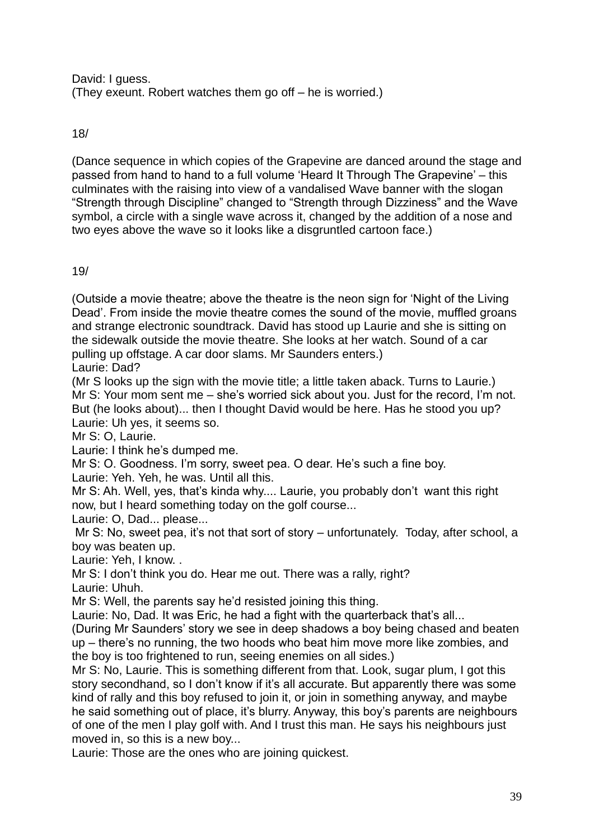David: I guess. (They exeunt. Robert watches them go off – he is worried.)

18/

(Dance sequence in which copies of the Grapevine are danced around the stage and passed from hand to hand to a full volume 'Heard It Through The Grapevine' – this culminates with the raising into view of a vandalised Wave banner with the slogan "Strength through Discipline" changed to "Strength through Dizziness" and the Wave symbol, a circle with a single wave across it, changed by the addition of a nose and two eyes above the wave so it looks like a disgruntled cartoon face.)

19/

(Outside a movie theatre; above the theatre is the neon sign for 'Night of the Living Dead'. From inside the movie theatre comes the sound of the movie, muffled groans and strange electronic soundtrack. David has stood up Laurie and she is sitting on the sidewalk outside the movie theatre. She looks at her watch. Sound of a car pulling up offstage. A car door slams. Mr Saunders enters.) Laurie: Dad?

(Mr S looks up the sign with the movie title; a little taken aback. Turns to Laurie.) Mr S: Your mom sent me – she's worried sick about you. Just for the record, I'm not. But (he looks about)... then I thought David would be here. Has he stood you up? Laurie: Uh yes, it seems so.

Mr S: O, Laurie.

Laurie: I think he's dumped me.

Mr S: O. Goodness. I'm sorry, sweet pea. O dear. He's such a fine boy. Laurie: Yeh. Yeh, he was. Until all this.

Mr S: Ah. Well, yes, that's kinda why.... Laurie, you probably don't want this right now, but I heard something today on the golf course...

Laurie: O, Dad... please...

Mr S: No, sweet pea, it's not that sort of story – unfortunately. Today, after school, a boy was beaten up.

Laurie: Yeh, I know. .

Mr S: I don't think you do. Hear me out. There was a rally, right? Laurie: Uhuh.

Mr S: Well, the parents say he'd resisted joining this thing.

Laurie: No, Dad. It was Eric, he had a fight with the quarterback that's all...

(During Mr Saunders' story we see in deep shadows a boy being chased and beaten up – there's no running, the two hoods who beat him move more like zombies, and the boy is too frightened to run, seeing enemies on all sides.)

Mr S: No, Laurie. This is something different from that. Look, sugar plum, I got this story secondhand, so I don't know if it's all accurate. But apparently there was some kind of rally and this boy refused to join it, or join in something anyway, and maybe he said something out of place, it's blurry. Anyway, this boy's parents are neighbours of one of the men I play golf with. And I trust this man. He says his neighbours just moved in, so this is a new boy...

Laurie: Those are the ones who are joining quickest.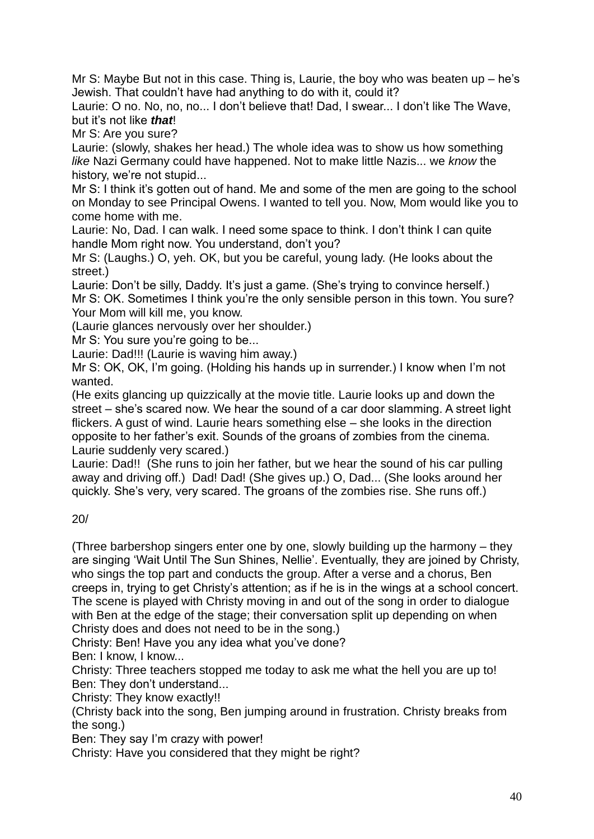Mr S: Maybe But not in this case. Thing is, Laurie, the boy who was beaten up – he's Jewish. That couldn't have had anything to do with it, could it?

Laurie: O no. No, no, no... I don't believe that! Dad, I swear... I don't like The Wave, but it's not like *that*!

Mr S: Are you sure?

Laurie: (slowly, shakes her head.) The whole idea was to show us how something *like* Nazi Germany could have happened. Not to make little Nazis... we *know* the history, we're not stupid...

Mr S: I think it's gotten out of hand. Me and some of the men are going to the school on Monday to see Principal Owens. I wanted to tell you. Now, Mom would like you to come home with me.

Laurie: No, Dad. I can walk. I need some space to think. I don't think I can quite handle Mom right now. You understand, don't you?

Mr S: (Laughs.) O, yeh. OK, but you be careful, young lady. (He looks about the street.)

Laurie: Don't be silly, Daddy. It's just a game. (She's trying to convince herself.) Mr S: OK. Sometimes I think you're the only sensible person in this town. You sure? Your Mom will kill me, you know.

(Laurie glances nervously over her shoulder.)

Mr S: You sure you're going to be...

Laurie: Dad!!! (Laurie is waving him away.)

Mr S: OK, OK, I'm going. (Holding his hands up in surrender.) I know when I'm not wanted.

(He exits glancing up quizzically at the movie title. Laurie looks up and down the street – she's scared now. We hear the sound of a car door slamming. A street light flickers. A gust of wind. Laurie hears something else – she looks in the direction opposite to her father's exit. Sounds of the groans of zombies from the cinema. Laurie suddenly very scared.)

Laurie: Dad!! (She runs to join her father, but we hear the sound of his car pulling away and driving off.) Dad! Dad! (She gives up.) O, Dad... (She looks around her quickly. She's very, very scared. The groans of the zombies rise. She runs off.)

# 20/

(Three barbershop singers enter one by one, slowly building up the harmony – they are singing 'Wait Until The Sun Shines, Nellie'. Eventually, they are joined by Christy, who sings the top part and conducts the group. After a verse and a chorus, Ben creeps in, trying to get Christy's attention; as if he is in the wings at a school concert. The scene is played with Christy moving in and out of the song in order to dialogue with Ben at the edge of the stage; their conversation split up depending on when Christy does and does not need to be in the song.)

Christy: Ben! Have you any idea what you've done?

Ben: I know, I know...

Christy: Three teachers stopped me today to ask me what the hell you are up to! Ben: They don't understand...

Christy: They know exactly!!

(Christy back into the song, Ben jumping around in frustration. Christy breaks from the song.)

Ben: They say I'm crazy with power!

Christy: Have you considered that they might be right?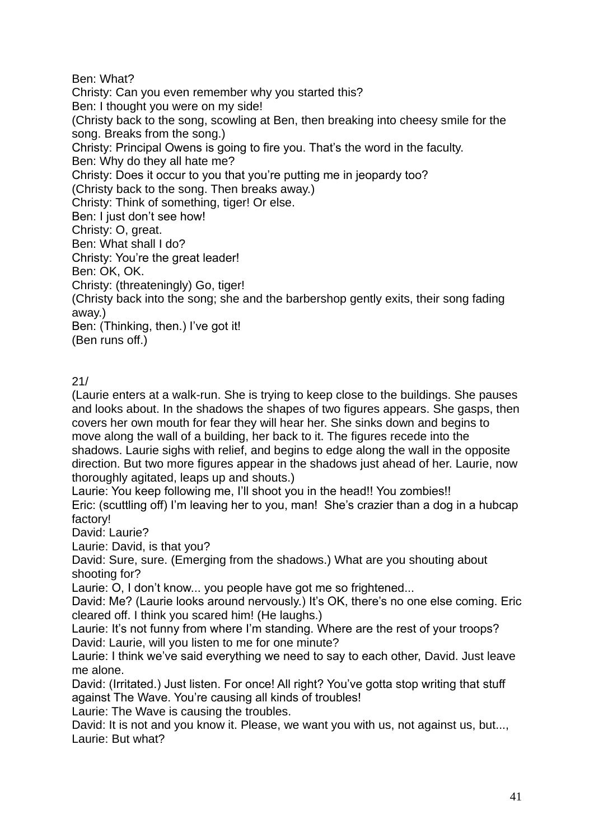Ben: What?

Christy: Can you even remember why you started this? Ben: I thought you were on my side! (Christy back to the song, scowling at Ben, then breaking into cheesy smile for the song. Breaks from the song.) Christy: Principal Owens is going to fire you. That's the word in the faculty. Ben: Why do they all hate me? Christy: Does it occur to you that you're putting me in jeopardy too? (Christy back to the song. Then breaks away.) Christy: Think of something, tiger! Or else. Ben: I just don't see how! Christy: O, great. Ben: What shall I do? Christy: You're the great leader! Ben: OK, OK. Christy: (threateningly) Go, tiger! (Christy back into the song; she and the barbershop gently exits, their song fading away.) Ben: (Thinking, then.) I've got it! (Ben runs off.)

21/

(Laurie enters at a walk-run. She is trying to keep close to the buildings. She pauses and looks about. In the shadows the shapes of two figures appears. She gasps, then covers her own mouth for fear they will hear her. She sinks down and begins to move along the wall of a building, her back to it. The figures recede into the shadows. Laurie sighs with relief, and begins to edge along the wall in the opposite direction. But two more figures appear in the shadows just ahead of her. Laurie, now thoroughly agitated, leaps up and shouts.)

Laurie: You keep following me, I'll shoot you in the head!! You zombies!! Eric: (scuttling off) I'm leaving her to you, man! She's crazier than a dog in a hubcap factory!

David: Laurie?

Laurie: David, is that you?

David: Sure, sure. (Emerging from the shadows.) What are you shouting about shooting for?

Laurie: O, I don't know... you people have got me so frightened...

David: Me? (Laurie looks around nervously.) It's OK, there's no one else coming. Eric cleared off. I think you scared him! (He laughs.)

Laurie: It's not funny from where I'm standing. Where are the rest of your troops? David: Laurie, will you listen to me for one minute?

Laurie: I think we've said everything we need to say to each other, David. Just leave me alone.

David: (Irritated.) Just listen. For once! All right? You've gotta stop writing that stuff against The Wave. You're causing all kinds of troubles!

Laurie: The Wave is causing the troubles.

David: It is not and you know it. Please, we want you with us, not against us, but..., Laurie: But what?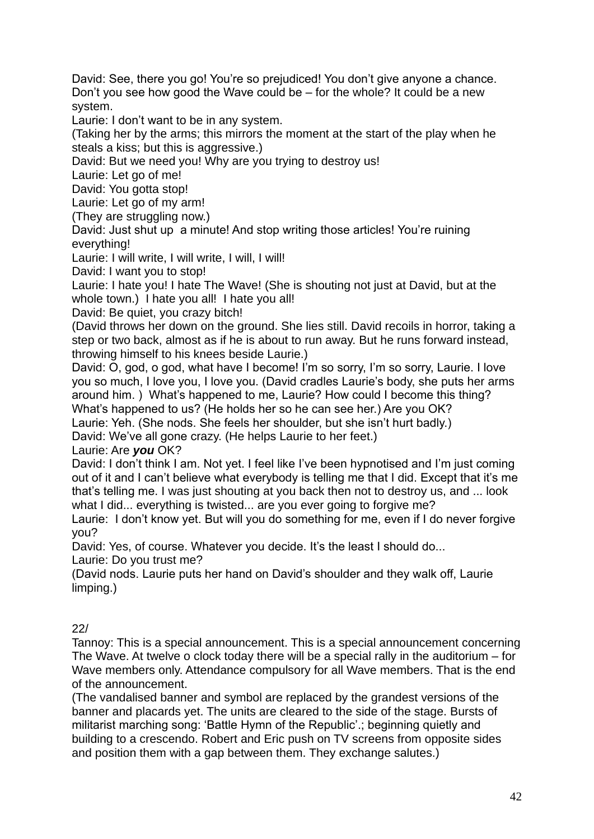David: See, there you go! You're so prejudiced! You don't give anyone a chance. Don't you see how good the Wave could be – for the whole? It could be a new system.

Laurie: I don't want to be in any system.

(Taking her by the arms; this mirrors the moment at the start of the play when he steals a kiss; but this is aggressive.)

David: But we need you! Why are you trying to destroy us!

Laurie: Let go of me!

David: You gotta stop!

Laurie: Let go of my arm!

(They are struggling now.)

David: Just shut up a minute! And stop writing those articles! You're ruining everything!

Laurie: I will write, I will write, I will, I will!

David: I want you to stop!

Laurie: I hate you! I hate The Wave! (She is shouting not just at David, but at the whole town.) I hate you all! I hate you all!

David: Be quiet, you crazy bitch!

(David throws her down on the ground. She lies still. David recoils in horror, taking a step or two back, almost as if he is about to run away. But he runs forward instead, throwing himself to his knees beside Laurie.)

David: O, god, o god, what have I become! I'm so sorry, I'm so sorry, Laurie. I love you so much, I love you, I love you. (David cradles Laurie's body, she puts her arms around him. ) What's happened to me, Laurie? How could I become this thing? What's happened to us? (He holds her so he can see her.) Are you OK?

Laurie: Yeh. (She nods. She feels her shoulder, but she isn't hurt badly.)

David: We've all gone crazy. (He helps Laurie to her feet.)

Laurie: Are *you* OK?

David: I don't think I am. Not yet. I feel like I've been hypnotised and I'm just coming out of it and I can't believe what everybody is telling me that I did. Except that it's me that's telling me. I was just shouting at you back then not to destroy us, and ... look what I did... everything is twisted... are you ever going to forgive me?

Laurie: I don't know yet. But will you do something for me, even if I do never forgive you?

David: Yes, of course. Whatever you decide. It's the least I should do...

Laurie: Do you trust me?

(David nods. Laurie puts her hand on David's shoulder and they walk off, Laurie limping.)

### 22/

Tannoy: This is a special announcement. This is a special announcement concerning The Wave. At twelve o clock today there will be a special rally in the auditorium – for Wave members only. Attendance compulsory for all Wave members. That is the end of the announcement.

(The vandalised banner and symbol are replaced by the grandest versions of the banner and placards yet. The units are cleared to the side of the stage. Bursts of militarist marching song: 'Battle Hymn of the Republic'.; beginning quietly and building to a crescendo. Robert and Eric push on TV screens from opposite sides and position them with a gap between them. They exchange salutes.)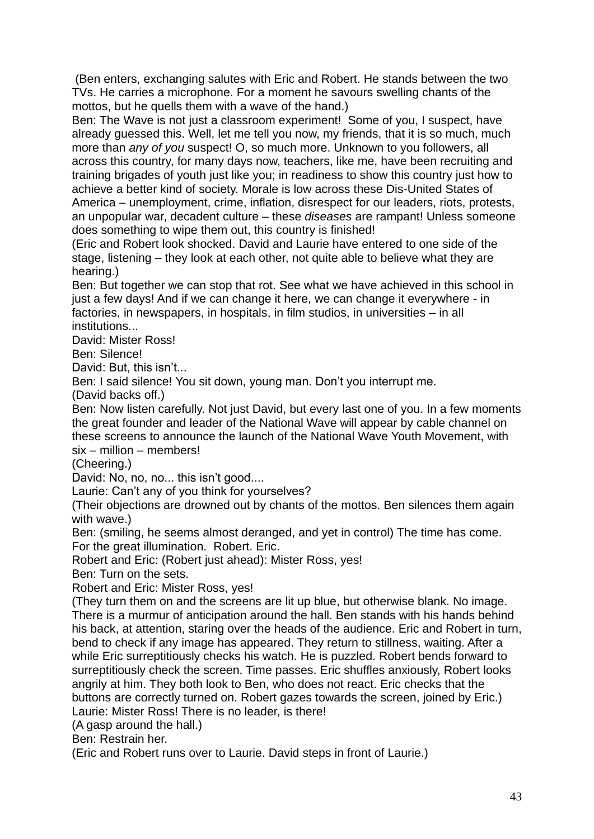(Ben enters, exchanging salutes with Eric and Robert. He stands between the two TVs. He carries a microphone. For a moment he savours swelling chants of the mottos, but he quells them with a wave of the hand.)

Ben: The Wave is not just a classroom experiment! Some of you, I suspect, have already guessed this. Well, let me tell you now, my friends, that it is so much, much more than *any of you* suspect! O, so much more. Unknown to you followers, all across this country, for many days now, teachers, like me, have been recruiting and training brigades of youth just like you; in readiness to show this country just how to achieve a better kind of society. Morale is low across these Dis-United States of America – unemployment, crime, inflation, disrespect for our leaders, riots, protests, an unpopular war, decadent culture – these *diseases* are rampant! Unless someone does something to wipe them out, this country is finished!

(Eric and Robert look shocked. David and Laurie have entered to one side of the stage, listening – they look at each other, not quite able to believe what they are hearing.)

Ben: But together we can stop that rot. See what we have achieved in this school in just a few days! And if we can change it here, we can change it everywhere - in factories, in newspapers, in hospitals, in film studios, in universities – in all institutions...

David: Mister Ross!

Ben: Silence!

David: But, this isn't...

Ben: I said silence! You sit down, young man. Don't you interrupt me.

(David backs off.)

Ben: Now listen carefully. Not just David, but every last one of you. In a few moments the great founder and leader of the National Wave will appear by cable channel on these screens to announce the launch of the National Wave Youth Movement, with six – million – members!

(Cheering.)

David: No, no, no... this isn't good....

Laurie: Can't any of you think for yourselves?

(Their objections are drowned out by chants of the mottos. Ben silences them again with wave.)

Ben: (smiling, he seems almost deranged, and yet in control) The time has come. For the great illumination. Robert. Eric.

Robert and Eric: (Robert just ahead): Mister Ross, yes!

Ben: Turn on the sets.

Robert and Eric: Mister Ross, yes!

(They turn them on and the screens are lit up blue, but otherwise blank. No image. There is a murmur of anticipation around the hall. Ben stands with his hands behind his back, at attention, staring over the heads of the audience. Eric and Robert in turn, bend to check if any image has appeared. They return to stillness, waiting. After a while Eric surreptitiously checks his watch. He is puzzled. Robert bends forward to surreptitiously check the screen. Time passes. Eric shuffles anxiously, Robert looks angrily at him. They both look to Ben, who does not react. Eric checks that the buttons are correctly turned on. Robert gazes towards the screen, joined by Eric.) Laurie: Mister Ross! There is no leader, is there!

(A gasp around the hall.)

Ben: Restrain her.

(Eric and Robert runs over to Laurie. David steps in front of Laurie.)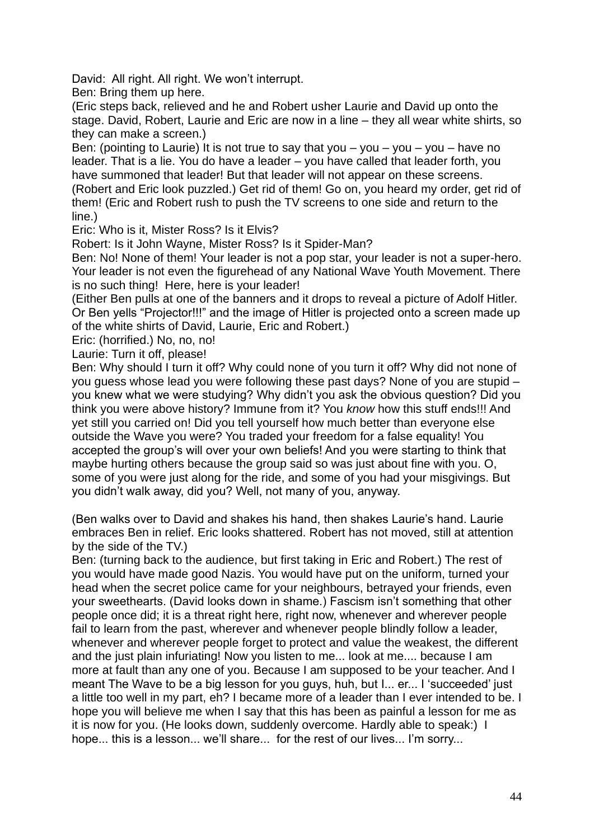David: All right. All right. We won't interrupt.

Ben: Bring them up here.

(Eric steps back, relieved and he and Robert usher Laurie and David up onto the stage. David, Robert, Laurie and Eric are now in a line – they all wear white shirts, so they can make a screen.)

Ben: (pointing to Laurie) It is not true to say that you – you – you – you – have no leader. That is a lie. You do have a leader – you have called that leader forth, you have summoned that leader! But that leader will not appear on these screens. (Robert and Eric look puzzled.) Get rid of them! Go on, you heard my order, get rid of them! (Eric and Robert rush to push the TV screens to one side and return to the line.)

Eric: Who is it, Mister Ross? Is it Elvis?

Robert: Is it John Wayne, Mister Ross? Is it Spider-Man?

Ben: No! None of them! Your leader is not a pop star, your leader is not a super-hero. Your leader is not even the figurehead of any National Wave Youth Movement. There is no such thing! Here, here is your leader!

(Either Ben pulls at one of the banners and it drops to reveal a picture of Adolf Hitler. Or Ben yells "Projector!!!" and the image of Hitler is projected onto a screen made up of the white shirts of David, Laurie, Eric and Robert.)

Eric: (horrified.) No, no, no!

Laurie: Turn it off, please!

Ben: Why should I turn it off? Why could none of you turn it off? Why did not none of you guess whose lead you were following these past days? None of you are stupid – you knew what we were studying? Why didn't you ask the obvious question? Did you think you were above history? Immune from it? You *know* how this stuff ends!!! And yet still you carried on! Did you tell yourself how much better than everyone else outside the Wave you were? You traded your freedom for a false equality! You accepted the group's will over your own beliefs! And you were starting to think that maybe hurting others because the group said so was just about fine with you. O, some of you were just along for the ride, and some of you had your misgivings. But you didn't walk away, did you? Well, not many of you, anyway.

(Ben walks over to David and shakes his hand, then shakes Laurie's hand. Laurie embraces Ben in relief. Eric looks shattered. Robert has not moved, still at attention by the side of the TV.)

Ben: (turning back to the audience, but first taking in Eric and Robert.) The rest of you would have made good Nazis. You would have put on the uniform, turned your head when the secret police came for your neighbours, betrayed your friends, even your sweethearts. (David looks down in shame.) Fascism isn't something that other people once did; it is a threat right here, right now, whenever and wherever people fail to learn from the past, wherever and whenever people blindly follow a leader, whenever and wherever people forget to protect and value the weakest, the different and the just plain infuriating! Now you listen to me... look at me.... because I am more at fault than any one of you. Because I am supposed to be your teacher. And I meant The Wave to be a big lesson for you guys, huh, but I... er... I 'succeeded' just a little too well in my part, eh? I became more of a leader than I ever intended to be. I hope you will believe me when I say that this has been as painful a lesson for me as it is now for you. (He looks down, suddenly overcome. Hardly able to speak:) I hope... this is a lesson... we'll share... for the rest of our lives... I'm sorry...